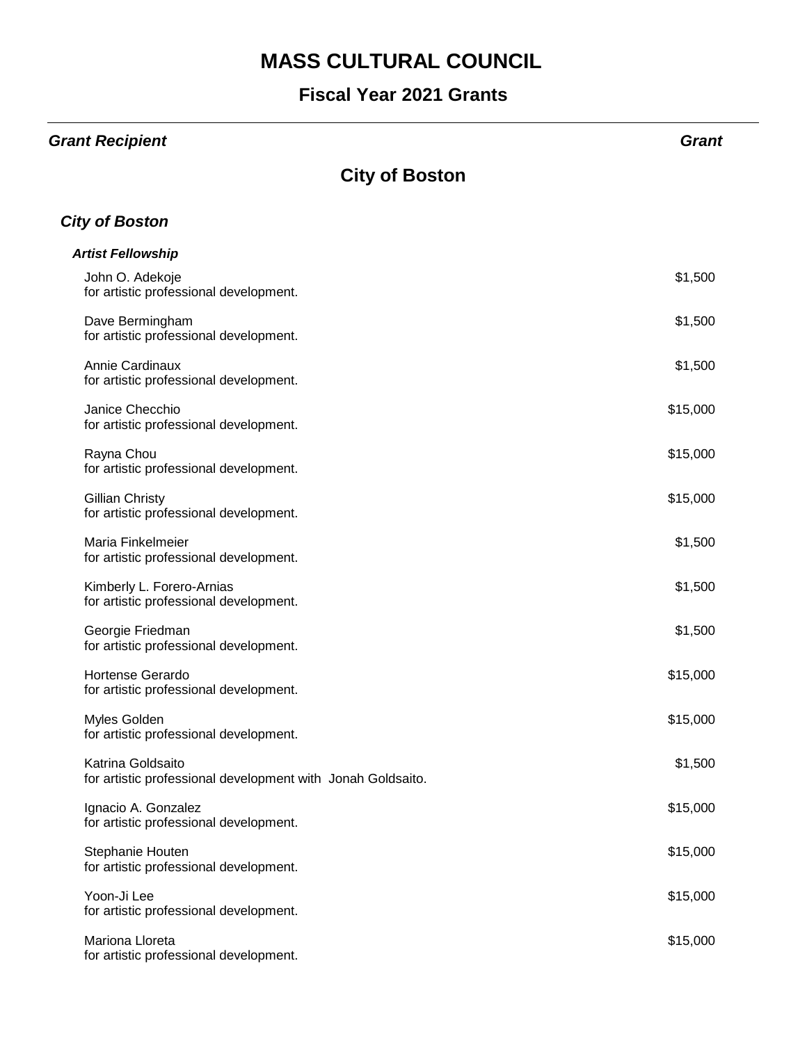#### **Fiscal Year 2021 Grants**

#### *Grant Recipient Grant*

### **City of Boston**

#### *City of Boston*

| <b>Artist Fellowship</b>                                                         |          |
|----------------------------------------------------------------------------------|----------|
| John O. Adekoje<br>for artistic professional development.                        | \$1,500  |
| Dave Bermingham<br>for artistic professional development.                        | \$1,500  |
| Annie Cardinaux<br>for artistic professional development.                        | \$1,500  |
| Janice Checchio<br>for artistic professional development.                        | \$15,000 |
| Rayna Chou<br>for artistic professional development.                             | \$15,000 |
| <b>Gillian Christy</b><br>for artistic professional development.                 | \$15,000 |
| Maria Finkelmeier<br>for artistic professional development.                      | \$1,500  |
| Kimberly L. Forero-Arnias<br>for artistic professional development.              | \$1,500  |
| Georgie Friedman<br>for artistic professional development.                       | \$1,500  |
| <b>Hortense Gerardo</b><br>for artistic professional development.                | \$15,000 |
| Myles Golden<br>for artistic professional development.                           | \$15,000 |
| Katrina Goldsaito<br>for artistic professional development with Jonah Goldsaito. | \$1,500  |
| Ignacio A. Gonzalez<br>for artistic professional development.                    | \$15,000 |
| Stephanie Houten<br>for artistic professional development.                       | \$15,000 |
| Yoon-Ji Lee<br>for artistic professional development.                            | \$15,000 |
| Mariona Lloreta<br>for artistic professional development.                        | \$15,000 |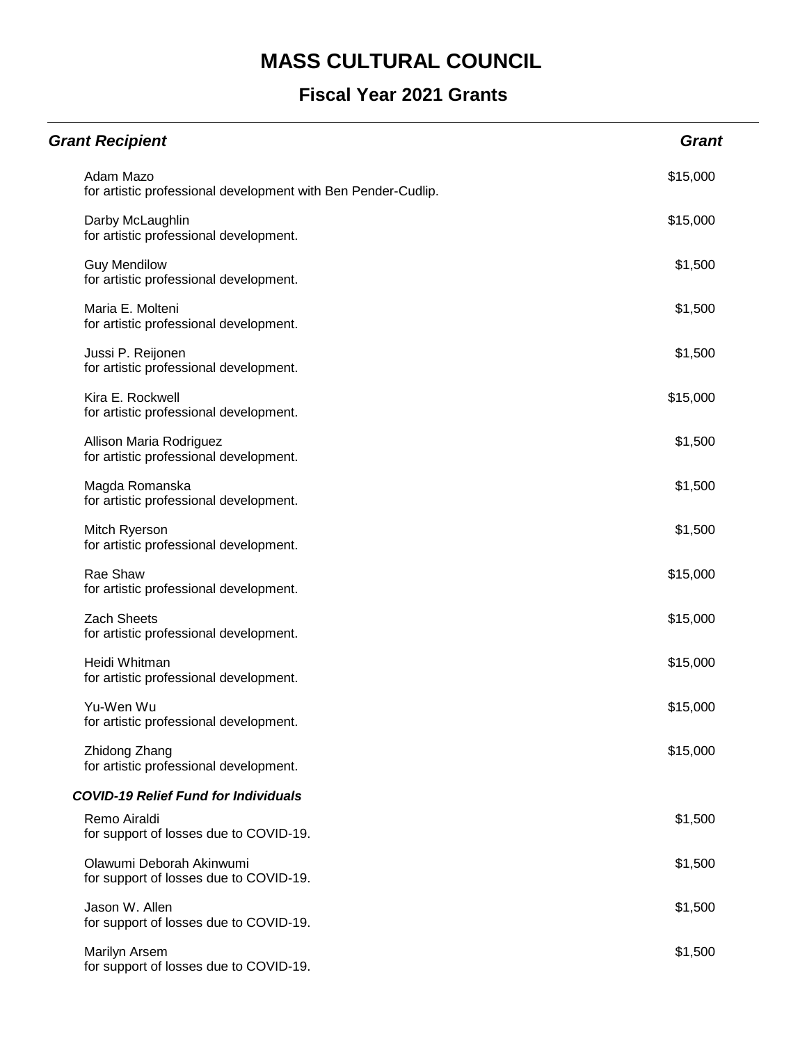| <b>Grant Recipient</b>                                                     | <b>Grant</b> |
|----------------------------------------------------------------------------|--------------|
| Adam Mazo<br>for artistic professional development with Ben Pender-Cudlip. | \$15,000     |
| Darby McLaughlin<br>for artistic professional development.                 | \$15,000     |
| <b>Guy Mendilow</b><br>for artistic professional development.              | \$1,500      |
| Maria E. Molteni<br>for artistic professional development.                 | \$1,500      |
| Jussi P. Reijonen<br>for artistic professional development.                | \$1,500      |
| Kira E. Rockwell<br>for artistic professional development.                 | \$15,000     |
| Allison Maria Rodriguez<br>for artistic professional development.          | \$1,500      |
| Magda Romanska<br>for artistic professional development.                   | \$1,500      |
| Mitch Ryerson<br>for artistic professional development.                    | \$1,500      |
| Rae Shaw<br>for artistic professional development.                         | \$15,000     |
| <b>Zach Sheets</b><br>for artistic professional development.               | \$15,000     |
| Heidi Whitman<br>for artistic professional development.                    | \$15,000     |
| Yu-Wen Wu<br>for artistic professional development.                        | \$15,000     |
| Zhidong Zhang<br>for artistic professional development.                    | \$15,000     |
| <b>COVID-19 Relief Fund for Individuals</b>                                |              |
| Remo Airaldi<br>for support of losses due to COVID-19.                     | \$1,500      |
| Olawumi Deborah Akinwumi<br>for support of losses due to COVID-19.         | \$1,500      |
| Jason W. Allen<br>for support of losses due to COVID-19.                   | \$1,500      |
| Marilyn Arsem<br>for support of losses due to COVID-19.                    | \$1,500      |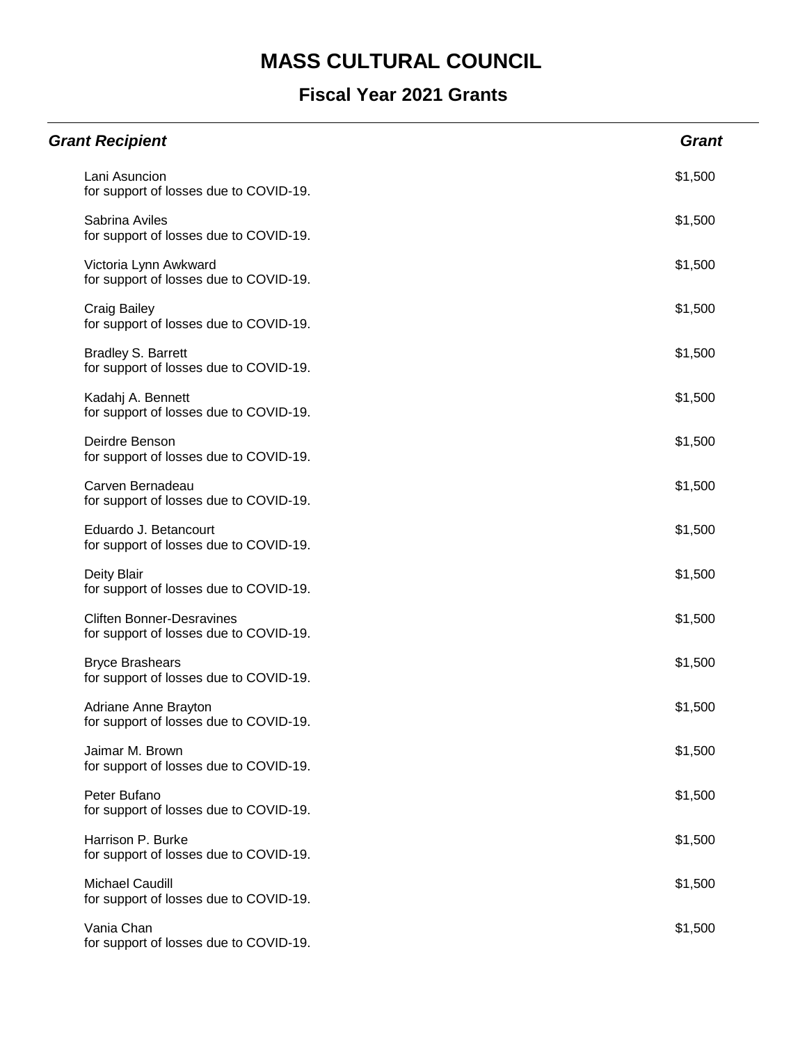| <b>Grant Recipient</b>                                                     | <b>Grant</b> |
|----------------------------------------------------------------------------|--------------|
| Lani Asuncion<br>for support of losses due to COVID-19.                    | \$1,500      |
| Sabrina Aviles<br>for support of losses due to COVID-19.                   | \$1,500      |
| Victoria Lynn Awkward<br>for support of losses due to COVID-19.            | \$1,500      |
| <b>Craig Bailey</b><br>for support of losses due to COVID-19.              | \$1,500      |
| <b>Bradley S. Barrett</b><br>for support of losses due to COVID-19.        | \$1,500      |
| Kadahj A. Bennett<br>for support of losses due to COVID-19.                | \$1,500      |
| Deirdre Benson<br>for support of losses due to COVID-19.                   | \$1,500      |
| Carven Bernadeau<br>for support of losses due to COVID-19.                 | \$1,500      |
| Eduardo J. Betancourt<br>for support of losses due to COVID-19.            | \$1,500      |
| Deity Blair<br>for support of losses due to COVID-19.                      | \$1,500      |
| <b>Cliften Bonner-Desravines</b><br>for support of losses due to COVID-19. | \$1,500      |
| <b>Bryce Brashears</b><br>for support of losses due to COVID-19.           | \$1,500      |
| Adriane Anne Brayton<br>for support of losses due to COVID-19.             | \$1,500      |
| Jaimar M. Brown<br>for support of losses due to COVID-19.                  | \$1,500      |
| Peter Bufano<br>for support of losses due to COVID-19.                     | \$1,500      |
| Harrison P. Burke<br>for support of losses due to COVID-19.                | \$1,500      |
| <b>Michael Caudill</b><br>for support of losses due to COVID-19.           | \$1,500      |
| Vania Chan<br>for support of losses due to COVID-19.                       | \$1,500      |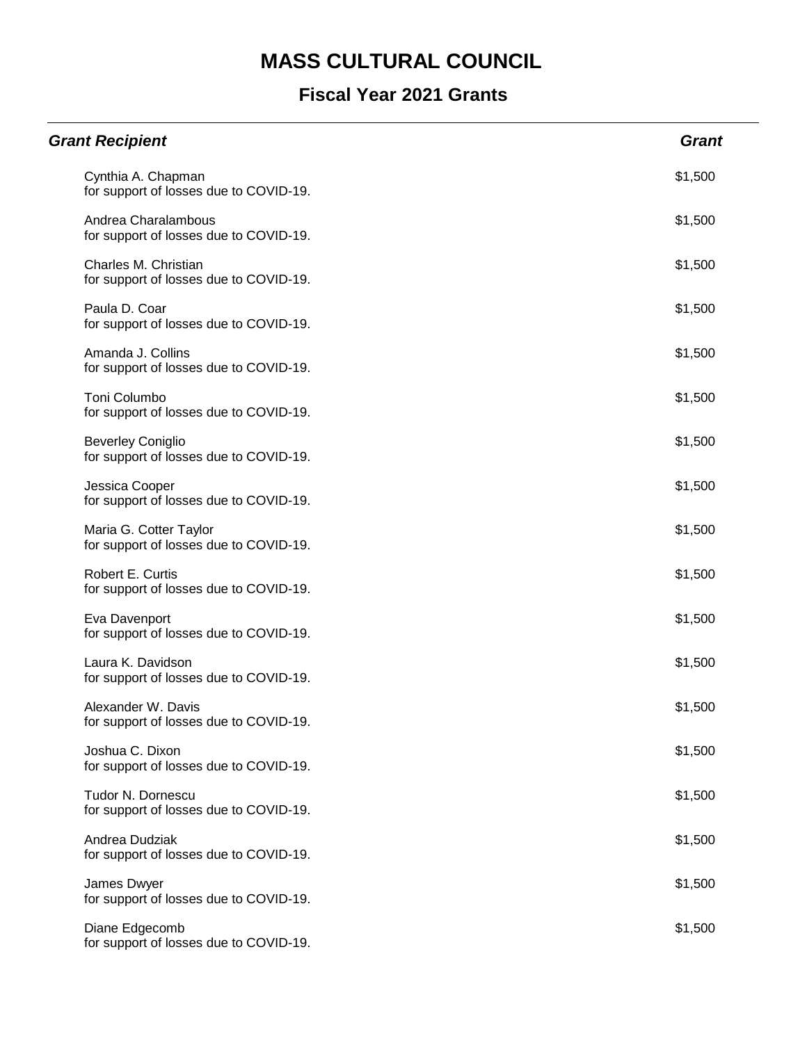| <b>Grant Recipient</b>                                             | <b>Grant</b> |
|--------------------------------------------------------------------|--------------|
| Cynthia A. Chapman<br>for support of losses due to COVID-19.       | \$1,500      |
| Andrea Charalambous<br>for support of losses due to COVID-19.      | \$1,500      |
| Charles M. Christian<br>for support of losses due to COVID-19.     | \$1,500      |
| Paula D. Coar<br>for support of losses due to COVID-19.            | \$1,500      |
| Amanda J. Collins<br>for support of losses due to COVID-19.        | \$1,500      |
| <b>Toni Columbo</b><br>for support of losses due to COVID-19.      | \$1,500      |
| <b>Beverley Coniglio</b><br>for support of losses due to COVID-19. | \$1,500      |
| Jessica Cooper<br>for support of losses due to COVID-19.           | \$1,500      |
| Maria G. Cotter Taylor<br>for support of losses due to COVID-19.   | \$1,500      |
| Robert E. Curtis<br>for support of losses due to COVID-19.         | \$1,500      |
| Eva Davenport<br>for support of losses due to COVID-19.            | \$1,500      |
| Laura K. Davidson<br>for support of losses due to COVID-19.        | \$1,500      |
| Alexander W. Davis<br>for support of losses due to COVID-19.       | \$1,500      |
| Joshua C. Dixon<br>for support of losses due to COVID-19.          | \$1,500      |
| Tudor N. Dornescu<br>for support of losses due to COVID-19.        | \$1,500      |
| Andrea Dudziak<br>for support of losses due to COVID-19.           | \$1,500      |
| James Dwyer<br>for support of losses due to COVID-19.              | \$1,500      |
| Diane Edgecomb<br>for support of losses due to COVID-19.           | \$1,500      |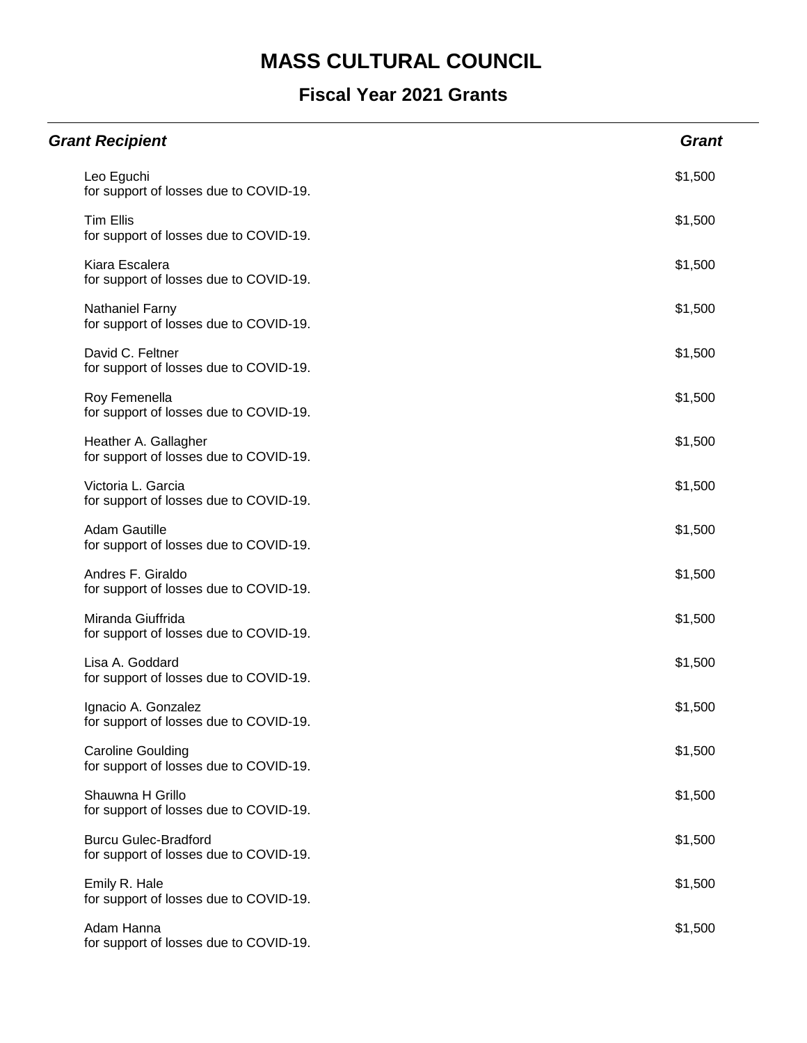| <b>Grant Recipient</b>                                                | <b>Grant</b> |
|-----------------------------------------------------------------------|--------------|
| Leo Eguchi<br>for support of losses due to COVID-19.                  | \$1,500      |
| <b>Tim Ellis</b><br>for support of losses due to COVID-19.            | \$1,500      |
| Kiara Escalera<br>for support of losses due to COVID-19.              | \$1,500      |
| Nathaniel Farny<br>for support of losses due to COVID-19.             | \$1,500      |
| David C. Feltner<br>for support of losses due to COVID-19.            | \$1,500      |
| Roy Femenella<br>for support of losses due to COVID-19.               | \$1,500      |
| Heather A. Gallagher<br>for support of losses due to COVID-19.        | \$1,500      |
| Victoria L. Garcia<br>for support of losses due to COVID-19.          | \$1,500      |
| <b>Adam Gautille</b><br>for support of losses due to COVID-19.        | \$1,500      |
| Andres F. Giraldo<br>for support of losses due to COVID-19.           | \$1,500      |
| Miranda Giuffrida<br>for support of losses due to COVID-19.           | \$1,500      |
| Lisa A. Goddard<br>for support of losses due to COVID-19.             | \$1,500      |
| Ignacio A. Gonzalez<br>for support of losses due to COVID-19.         | \$1,500      |
| <b>Caroline Goulding</b><br>for support of losses due to COVID-19.    | \$1,500      |
| Shauwna H Grillo<br>for support of losses due to COVID-19.            | \$1,500      |
| <b>Burcu Gulec-Bradford</b><br>for support of losses due to COVID-19. | \$1,500      |
| Emily R. Hale<br>for support of losses due to COVID-19.               | \$1,500      |
| Adam Hanna<br>for support of losses due to COVID-19.                  | \$1,500      |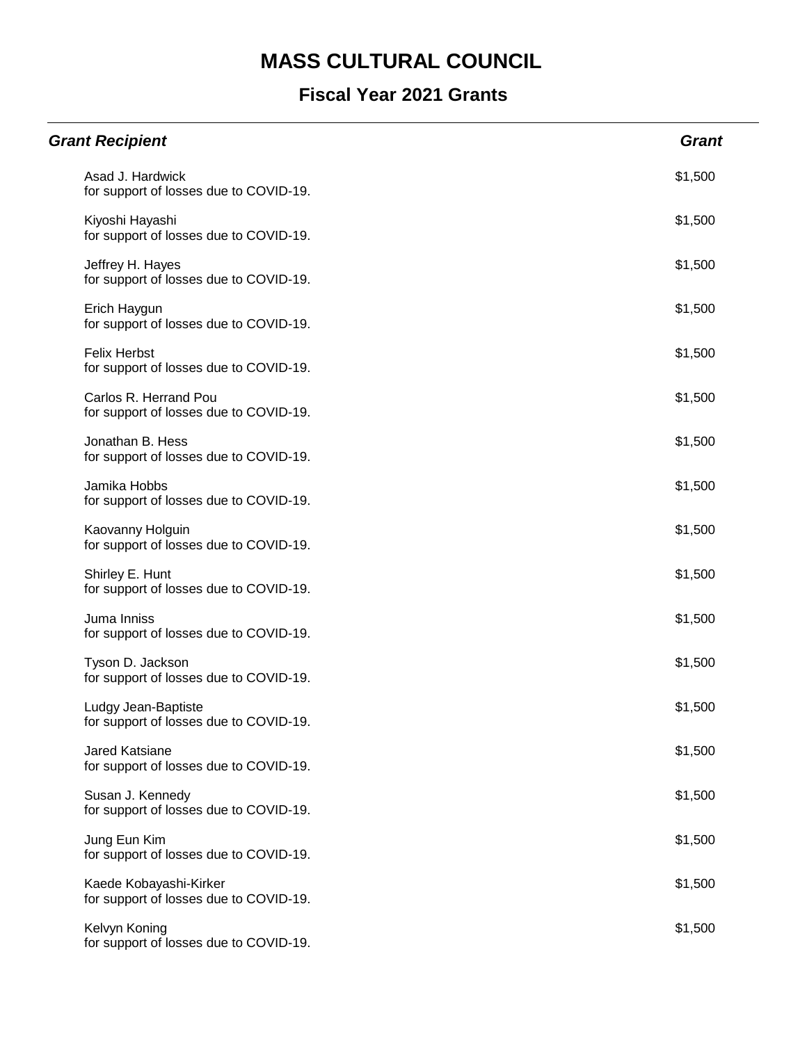| <b>Grant Recipient</b>                                           | <b>Grant</b> |
|------------------------------------------------------------------|--------------|
| Asad J. Hardwick<br>for support of losses due to COVID-19.       | \$1,500      |
| Kiyoshi Hayashi<br>for support of losses due to COVID-19.        | \$1,500      |
| Jeffrey H. Hayes<br>for support of losses due to COVID-19.       | \$1,500      |
| Erich Haygun<br>for support of losses due to COVID-19.           | \$1,500      |
| <b>Felix Herbst</b><br>for support of losses due to COVID-19.    | \$1,500      |
| Carlos R. Herrand Pou<br>for support of losses due to COVID-19.  | \$1,500      |
| Jonathan B. Hess<br>for support of losses due to COVID-19.       | \$1,500      |
| Jamika Hobbs<br>for support of losses due to COVID-19.           | \$1,500      |
| Kaovanny Holguin<br>for support of losses due to COVID-19.       | \$1,500      |
| Shirley E. Hunt<br>for support of losses due to COVID-19.        | \$1,500      |
| Juma Inniss<br>for support of losses due to COVID-19.            | \$1,500      |
| Tyson D. Jackson<br>for support of losses due to COVID-19.       | \$1,500      |
| Ludgy Jean-Baptiste<br>for support of losses due to COVID-19.    | \$1,500      |
| Jared Katsiane<br>for support of losses due to COVID-19.         | \$1,500      |
| Susan J. Kennedy<br>for support of losses due to COVID-19.       | \$1,500      |
| Jung Eun Kim<br>for support of losses due to COVID-19.           | \$1,500      |
| Kaede Kobayashi-Kirker<br>for support of losses due to COVID-19. | \$1,500      |
| Kelvyn Koning<br>for support of losses due to COVID-19.          | \$1,500      |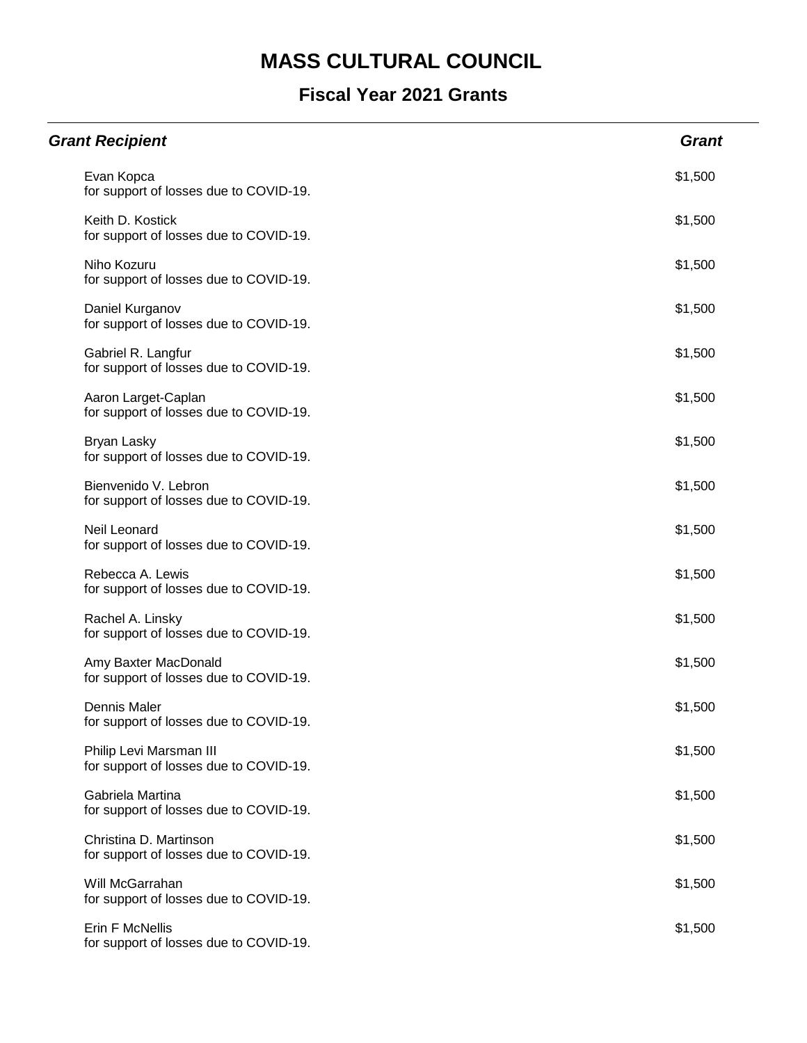| <b>Grant Recipient</b>                                            | <b>Grant</b> |
|-------------------------------------------------------------------|--------------|
| Evan Kopca<br>for support of losses due to COVID-19.              | \$1,500      |
| Keith D. Kostick<br>for support of losses due to COVID-19.        | \$1,500      |
| Niho Kozuru<br>for support of losses due to COVID-19.             | \$1,500      |
| Daniel Kurganov<br>for support of losses due to COVID-19.         | \$1,500      |
| Gabriel R. Langfur<br>for support of losses due to COVID-19.      | \$1,500      |
| Aaron Larget-Caplan<br>for support of losses due to COVID-19.     | \$1,500      |
| Bryan Lasky<br>for support of losses due to COVID-19.             | \$1,500      |
| Bienvenido V. Lebron<br>for support of losses due to COVID-19.    | \$1,500      |
| Neil Leonard<br>for support of losses due to COVID-19.            | \$1,500      |
| Rebecca A. Lewis<br>for support of losses due to COVID-19.        | \$1,500      |
| Rachel A. Linsky<br>for support of losses due to COVID-19.        | \$1,500      |
| Amy Baxter MacDonald<br>for support of losses due to COVID-19.    | \$1,500      |
| <b>Dennis Maler</b><br>for support of losses due to COVID-19.     | \$1,500      |
| Philip Levi Marsman III<br>for support of losses due to COVID-19. | \$1,500      |
| Gabriela Martina<br>for support of losses due to COVID-19.        | \$1,500      |
| Christina D. Martinson<br>for support of losses due to COVID-19.  | \$1,500      |
| Will McGarrahan<br>for support of losses due to COVID-19.         | \$1,500      |
| Erin F McNellis<br>for support of losses due to COVID-19.         | \$1,500      |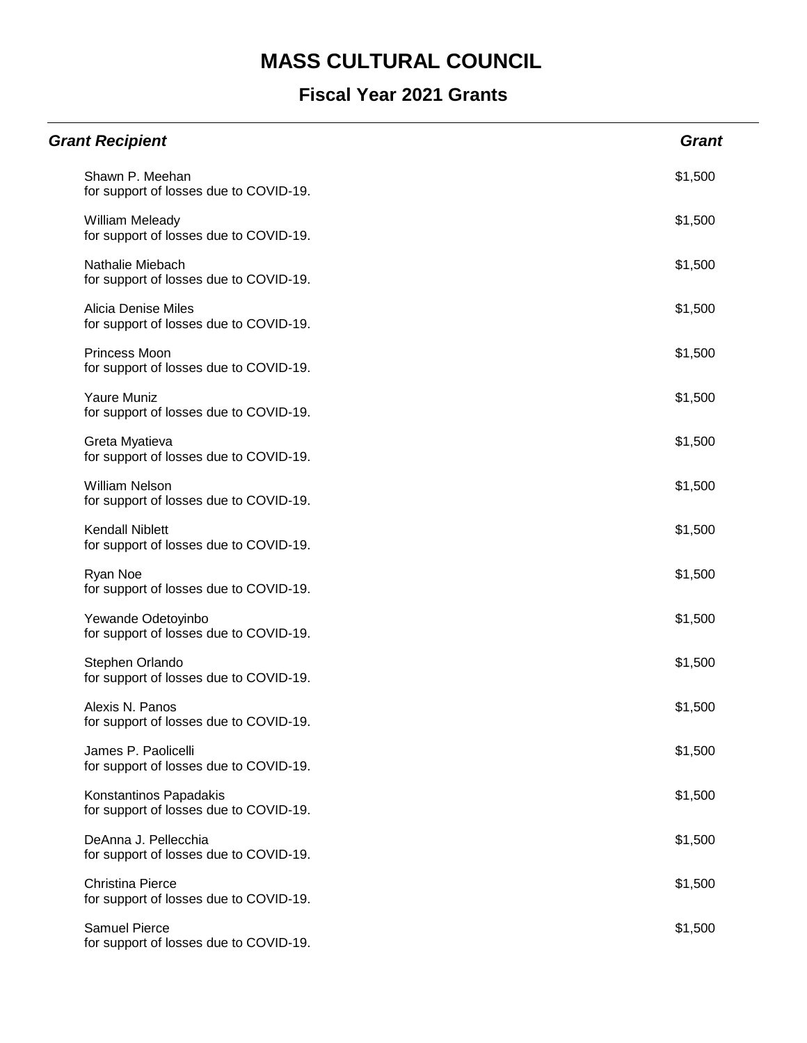| <b>Grant Recipient</b>                                               | <b>Grant</b> |
|----------------------------------------------------------------------|--------------|
| Shawn P. Meehan<br>for support of losses due to COVID-19.            | \$1,500      |
| William Meleady<br>for support of losses due to COVID-19.            | \$1,500      |
| Nathalie Miebach<br>for support of losses due to COVID-19.           | \$1,500      |
| <b>Alicia Denise Miles</b><br>for support of losses due to COVID-19. | \$1,500      |
| Princess Moon<br>for support of losses due to COVID-19.              | \$1,500      |
| Yaure Muniz<br>for support of losses due to COVID-19.                | \$1,500      |
| Greta Myatieva<br>for support of losses due to COVID-19.             | \$1,500      |
| <b>William Nelson</b><br>for support of losses due to COVID-19.      | \$1,500      |
| <b>Kendall Niblett</b><br>for support of losses due to COVID-19.     | \$1,500      |
| Ryan Noe<br>for support of losses due to COVID-19.                   | \$1,500      |
| Yewande Odetoyinbo<br>for support of losses due to COVID-19.         | \$1,500      |
| Stephen Orlando<br>for support of losses due to COVID-19.            | \$1,500      |
| Alexis N. Panos<br>for support of losses due to COVID-19.            | \$1,500      |
| James P. Paolicelli<br>for support of losses due to COVID-19.        | \$1,500      |
| Konstantinos Papadakis<br>for support of losses due to COVID-19.     | \$1,500      |
| DeAnna J. Pellecchia<br>for support of losses due to COVID-19.       | \$1,500      |
| <b>Christina Pierce</b><br>for support of losses due to COVID-19.    | \$1,500      |
| <b>Samuel Pierce</b><br>for support of losses due to COVID-19.       | \$1,500      |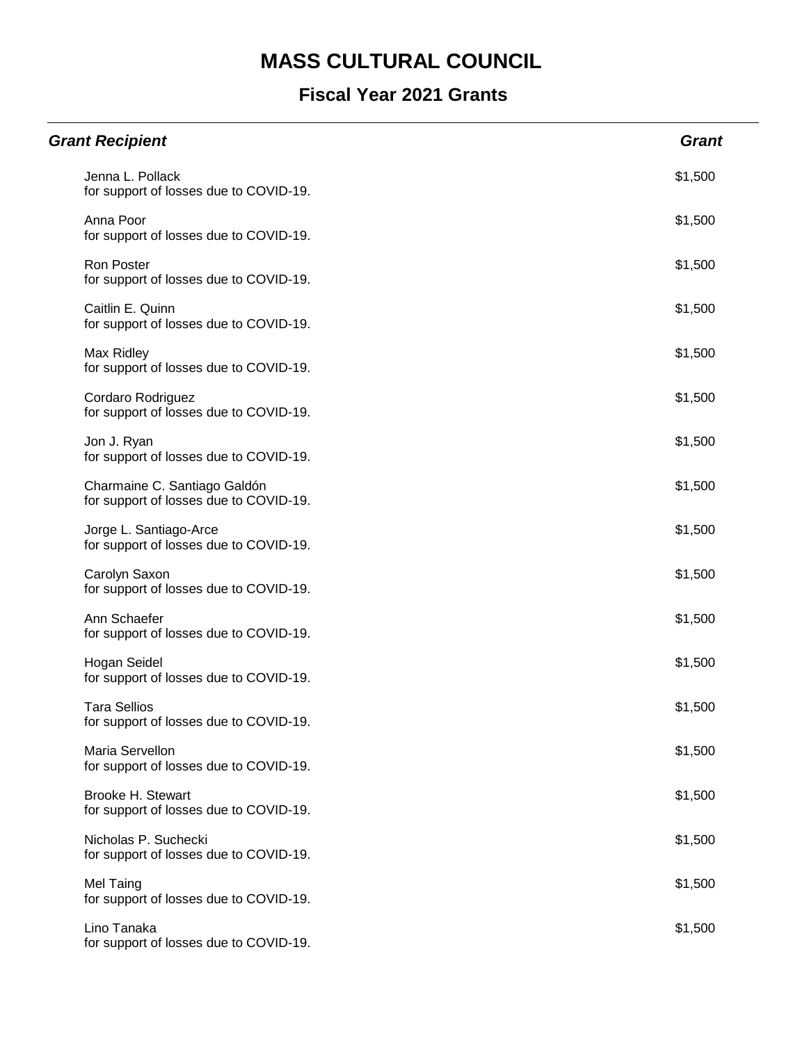| <b>Grant Recipient</b>                                                 | <b>Grant</b> |
|------------------------------------------------------------------------|--------------|
| Jenna L. Pollack<br>for support of losses due to COVID-19.             | \$1,500      |
| Anna Poor<br>for support of losses due to COVID-19.                    | \$1,500      |
| Ron Poster<br>for support of losses due to COVID-19.                   | \$1,500      |
| Caitlin E. Quinn<br>for support of losses due to COVID-19.             | \$1,500      |
| Max Ridley<br>for support of losses due to COVID-19.                   | \$1,500      |
| Cordaro Rodriguez<br>for support of losses due to COVID-19.            | \$1,500      |
| Jon J. Ryan<br>for support of losses due to COVID-19.                  | \$1,500      |
| Charmaine C. Santiago Galdón<br>for support of losses due to COVID-19. | \$1,500      |
| Jorge L. Santiago-Arce<br>for support of losses due to COVID-19.       | \$1,500      |
| Carolyn Saxon<br>for support of losses due to COVID-19.                | \$1,500      |
| Ann Schaefer<br>for support of losses due to COVID-19.                 | \$1,500      |
| Hogan Seidel<br>for support of losses due to COVID-19.                 | \$1,500      |
| <b>Tara Sellios</b><br>for support of losses due to COVID-19.          | \$1,500      |
| Maria Servellon<br>for support of losses due to COVID-19.              | \$1,500      |
| Brooke H. Stewart<br>for support of losses due to COVID-19.            | \$1,500      |
| Nicholas P. Suchecki<br>for support of losses due to COVID-19.         | \$1,500      |
| Mel Taing<br>for support of losses due to COVID-19.                    | \$1,500      |
| Lino Tanaka<br>for support of losses due to COVID-19.                  | \$1,500      |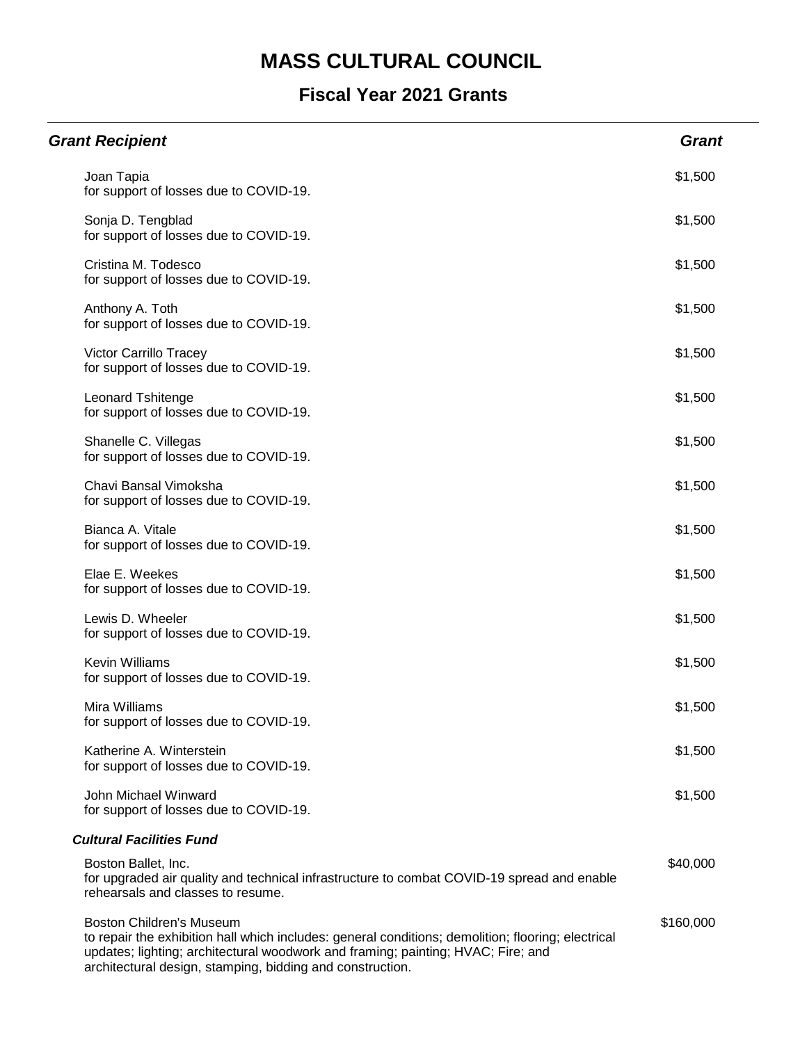| <b>Grant Recipient</b>                                                                                                                                                                                                                                                                 | <b>Grant</b> |
|----------------------------------------------------------------------------------------------------------------------------------------------------------------------------------------------------------------------------------------------------------------------------------------|--------------|
| Joan Tapia<br>for support of losses due to COVID-19.                                                                                                                                                                                                                                   | \$1,500      |
| Sonja D. Tengblad<br>for support of losses due to COVID-19.                                                                                                                                                                                                                            | \$1,500      |
| Cristina M. Todesco<br>for support of losses due to COVID-19.                                                                                                                                                                                                                          | \$1,500      |
| Anthony A. Toth<br>for support of losses due to COVID-19.                                                                                                                                                                                                                              | \$1,500      |
| Victor Carrillo Tracey<br>for support of losses due to COVID-19.                                                                                                                                                                                                                       | \$1,500      |
| <b>Leonard Tshitenge</b><br>for support of losses due to COVID-19.                                                                                                                                                                                                                     | \$1,500      |
| Shanelle C. Villegas<br>for support of losses due to COVID-19.                                                                                                                                                                                                                         | \$1,500      |
| Chavi Bansal Vimoksha<br>for support of losses due to COVID-19.                                                                                                                                                                                                                        | \$1,500      |
| Bianca A. Vitale<br>for support of losses due to COVID-19.                                                                                                                                                                                                                             | \$1,500      |
| Elae E. Weekes<br>for support of losses due to COVID-19.                                                                                                                                                                                                                               | \$1,500      |
| Lewis D. Wheeler<br>for support of losses due to COVID-19.                                                                                                                                                                                                                             | \$1,500      |
| <b>Kevin Williams</b><br>for support of losses due to COVID-19.                                                                                                                                                                                                                        | \$1,500      |
| Mira Williams<br>for support of losses due to COVID-19.                                                                                                                                                                                                                                | \$1,500      |
| Katherine A. Winterstein<br>for support of losses due to COVID-19.                                                                                                                                                                                                                     | \$1,500      |
| John Michael Winward<br>for support of losses due to COVID-19.                                                                                                                                                                                                                         | \$1,500      |
| <b>Cultural Facilities Fund</b>                                                                                                                                                                                                                                                        |              |
| Boston Ballet, Inc.<br>for upgraded air quality and technical infrastructure to combat COVID-19 spread and enable<br>rehearsals and classes to resume.                                                                                                                                 | \$40,000     |
| <b>Boston Children's Museum</b><br>to repair the exhibition hall which includes: general conditions; demolition; flooring; electrical<br>updates; lighting; architectural woodwork and framing; painting; HVAC; Fire; and<br>architectural design, stamping, bidding and construction. | \$160,000    |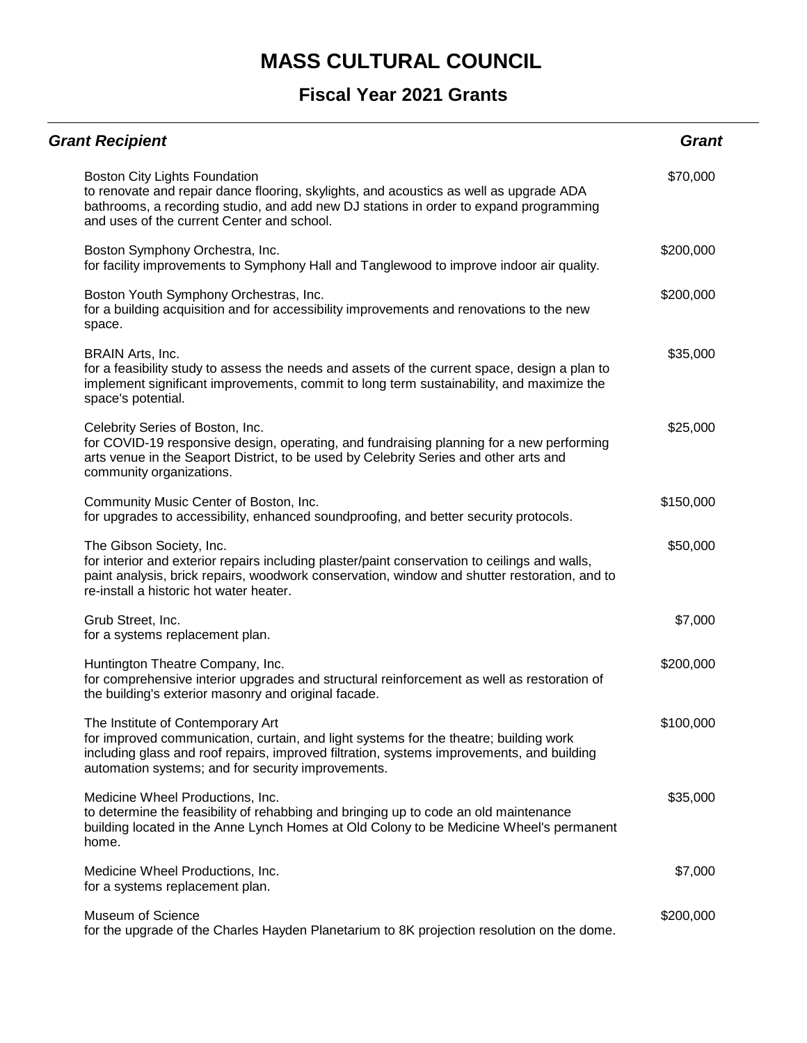| <b>Grant Recipient</b>                                                                                                                                                                                                                                                        | <b>Grant</b> |
|-------------------------------------------------------------------------------------------------------------------------------------------------------------------------------------------------------------------------------------------------------------------------------|--------------|
| Boston City Lights Foundation<br>to renovate and repair dance flooring, skylights, and acoustics as well as upgrade ADA<br>bathrooms, a recording studio, and add new DJ stations in order to expand programming<br>and uses of the current Center and school.                | \$70,000     |
| Boston Symphony Orchestra, Inc.<br>for facility improvements to Symphony Hall and Tanglewood to improve indoor air quality.                                                                                                                                                   | \$200,000    |
| Boston Youth Symphony Orchestras, Inc.<br>for a building acquisition and for accessibility improvements and renovations to the new<br>space.                                                                                                                                  | \$200,000    |
| BRAIN Arts, Inc.<br>for a feasibility study to assess the needs and assets of the current space, design a plan to<br>implement significant improvements, commit to long term sustainability, and maximize the<br>space's potential.                                           | \$35,000     |
| Celebrity Series of Boston, Inc.<br>for COVID-19 responsive design, operating, and fundraising planning for a new performing<br>arts venue in the Seaport District, to be used by Celebrity Series and other arts and<br>community organizations.                             | \$25,000     |
| Community Music Center of Boston, Inc.<br>for upgrades to accessibility, enhanced soundproofing, and better security protocols.                                                                                                                                               | \$150,000    |
| The Gibson Society, Inc.<br>for interior and exterior repairs including plaster/paint conservation to ceilings and walls,<br>paint analysis, brick repairs, woodwork conservation, window and shutter restoration, and to<br>re-install a historic hot water heater.          | \$50,000     |
| Grub Street, Inc.<br>for a systems replacement plan.                                                                                                                                                                                                                          | \$7,000      |
| Huntington Theatre Company, Inc.<br>for comprehensive interior upgrades and structural reinforcement as well as restoration of<br>the building's exterior masonry and original facade.                                                                                        | \$200,000    |
| The Institute of Contemporary Art<br>for improved communication, curtain, and light systems for the theatre; building work<br>including glass and roof repairs, improved filtration, systems improvements, and building<br>automation systems; and for security improvements. | \$100,000    |
| Medicine Wheel Productions, Inc.<br>to determine the feasibility of rehabbing and bringing up to code an old maintenance<br>building located in the Anne Lynch Homes at Old Colony to be Medicine Wheel's permanent<br>home.                                                  | \$35,000     |
| Medicine Wheel Productions, Inc.<br>for a systems replacement plan.                                                                                                                                                                                                           | \$7,000      |
| Museum of Science<br>for the upgrade of the Charles Hayden Planetarium to 8K projection resolution on the dome.                                                                                                                                                               | \$200,000    |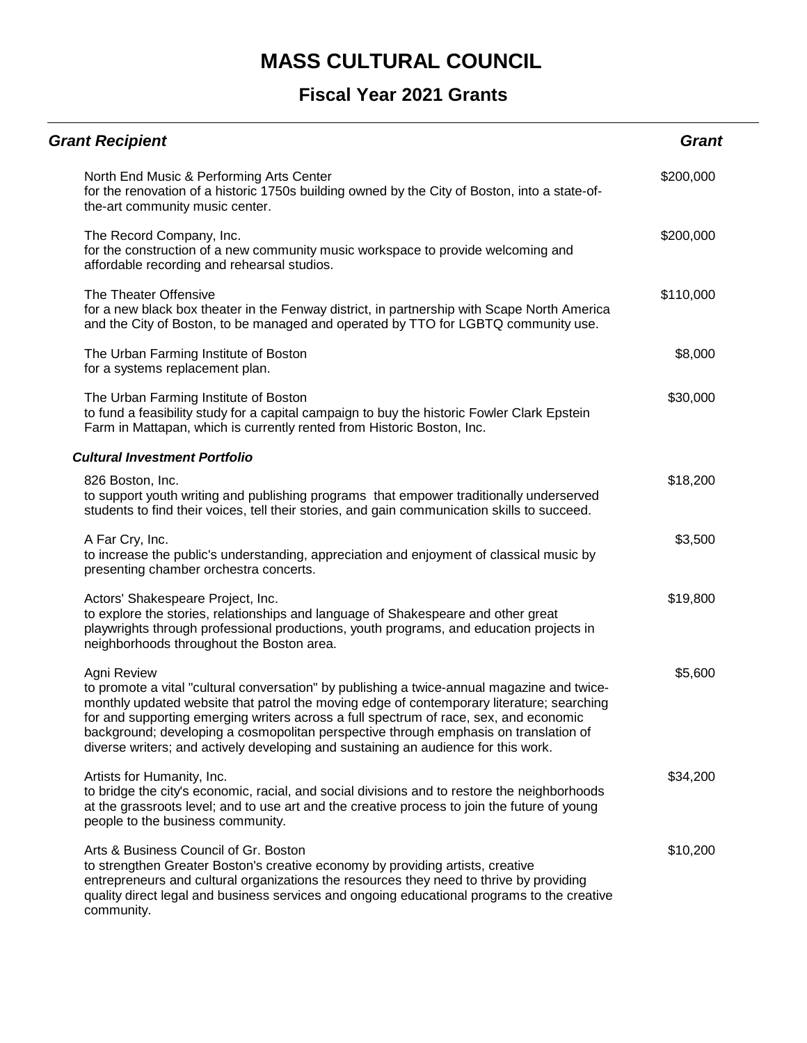| <b>Grant Recipient</b>                                                                                                                                                                                                                                                                                                                                                                                                                                                         | <b>Grant</b> |
|--------------------------------------------------------------------------------------------------------------------------------------------------------------------------------------------------------------------------------------------------------------------------------------------------------------------------------------------------------------------------------------------------------------------------------------------------------------------------------|--------------|
| North End Music & Performing Arts Center<br>for the renovation of a historic 1750s building owned by the City of Boston, into a state-of-<br>the-art community music center.                                                                                                                                                                                                                                                                                                   | \$200,000    |
| The Record Company, Inc.<br>for the construction of a new community music workspace to provide welcoming and<br>affordable recording and rehearsal studios.                                                                                                                                                                                                                                                                                                                    | \$200,000    |
| The Theater Offensive<br>for a new black box theater in the Fenway district, in partnership with Scape North America<br>and the City of Boston, to be managed and operated by TTO for LGBTQ community use.                                                                                                                                                                                                                                                                     | \$110,000    |
| The Urban Farming Institute of Boston<br>for a systems replacement plan.                                                                                                                                                                                                                                                                                                                                                                                                       | \$8,000      |
| The Urban Farming Institute of Boston<br>to fund a feasibility study for a capital campaign to buy the historic Fowler Clark Epstein<br>Farm in Mattapan, which is currently rented from Historic Boston, Inc.                                                                                                                                                                                                                                                                 | \$30,000     |
| <b>Cultural Investment Portfolio</b>                                                                                                                                                                                                                                                                                                                                                                                                                                           |              |
| 826 Boston, Inc.<br>to support youth writing and publishing programs that empower traditionally underserved<br>students to find their voices, tell their stories, and gain communication skills to succeed.                                                                                                                                                                                                                                                                    | \$18,200     |
| A Far Cry, Inc.<br>to increase the public's understanding, appreciation and enjoyment of classical music by<br>presenting chamber orchestra concerts.                                                                                                                                                                                                                                                                                                                          | \$3,500      |
| Actors' Shakespeare Project, Inc.<br>to explore the stories, relationships and language of Shakespeare and other great<br>playwrights through professional productions, youth programs, and education projects in<br>neighborhoods throughout the Boston area.                                                                                                                                                                                                                 | \$19,800     |
| Agni Review<br>to promote a vital "cultural conversation" by publishing a twice-annual magazine and twice-<br>monthly updated website that patrol the moving edge of contemporary literature; searching<br>for and supporting emerging writers across a full spectrum of race, sex, and economic<br>background; developing a cosmopolitan perspective through emphasis on translation of<br>diverse writers; and actively developing and sustaining an audience for this work. | \$5,600      |
| Artists for Humanity, Inc.<br>to bridge the city's economic, racial, and social divisions and to restore the neighborhoods<br>at the grassroots level; and to use art and the creative process to join the future of young<br>people to the business community.                                                                                                                                                                                                                | \$34,200     |
| Arts & Business Council of Gr. Boston<br>to strengthen Greater Boston's creative economy by providing artists, creative<br>entrepreneurs and cultural organizations the resources they need to thrive by providing<br>quality direct legal and business services and ongoing educational programs to the creative<br>community.                                                                                                                                                | \$10,200     |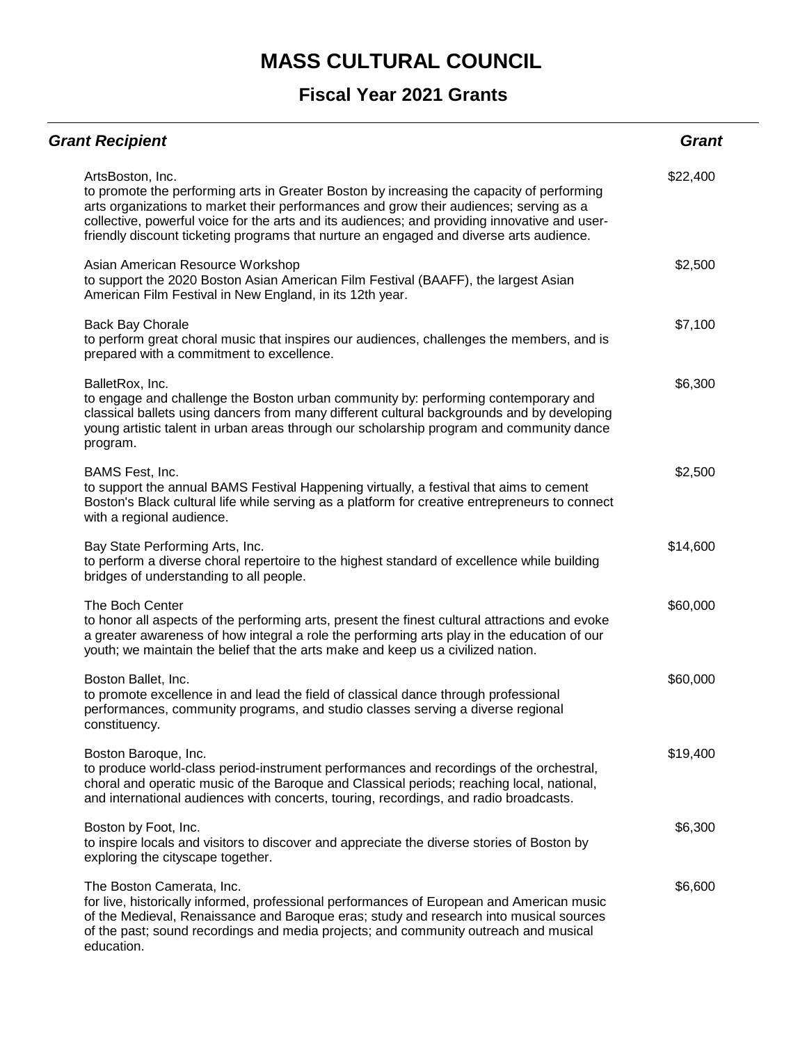| <b>Grant Recipient</b>                                                                                                                                                                                                                                                                                                                                                                              | <b>Grant</b> |
|-----------------------------------------------------------------------------------------------------------------------------------------------------------------------------------------------------------------------------------------------------------------------------------------------------------------------------------------------------------------------------------------------------|--------------|
| ArtsBoston, Inc.<br>to promote the performing arts in Greater Boston by increasing the capacity of performing<br>arts organizations to market their performances and grow their audiences; serving as a<br>collective, powerful voice for the arts and its audiences; and providing innovative and user-<br>friendly discount ticketing programs that nurture an engaged and diverse arts audience. | \$22,400     |
| Asian American Resource Workshop<br>to support the 2020 Boston Asian American Film Festival (BAAFF), the largest Asian<br>American Film Festival in New England, in its 12th year.                                                                                                                                                                                                                  | \$2,500      |
| <b>Back Bay Chorale</b><br>to perform great choral music that inspires our audiences, challenges the members, and is<br>prepared with a commitment to excellence.                                                                                                                                                                                                                                   | \$7,100      |
| BalletRox, Inc.<br>to engage and challenge the Boston urban community by: performing contemporary and<br>classical ballets using dancers from many different cultural backgrounds and by developing<br>young artistic talent in urban areas through our scholarship program and community dance<br>program.                                                                                         | \$6,300      |
| BAMS Fest, Inc.<br>to support the annual BAMS Festival Happening virtually, a festival that aims to cement<br>Boston's Black cultural life while serving as a platform for creative entrepreneurs to connect<br>with a regional audience.                                                                                                                                                           | \$2,500      |
| Bay State Performing Arts, Inc.<br>to perform a diverse choral repertoire to the highest standard of excellence while building<br>bridges of understanding to all people.                                                                                                                                                                                                                           | \$14,600     |
| The Boch Center<br>to honor all aspects of the performing arts, present the finest cultural attractions and evoke<br>a greater awareness of how integral a role the performing arts play in the education of our<br>youth; we maintain the belief that the arts make and keep us a civilized nation.                                                                                                | \$60,000     |
| Boston Ballet, Inc.<br>to promote excellence in and lead the field of classical dance through professional<br>performances, community programs, and studio classes serving a diverse regional<br>constituency.                                                                                                                                                                                      | \$60,000     |
| Boston Baroque, Inc.<br>to produce world-class period-instrument performances and recordings of the orchestral,<br>choral and operatic music of the Baroque and Classical periods; reaching local, national,<br>and international audiences with concerts, touring, recordings, and radio broadcasts.                                                                                               | \$19,400     |
| Boston by Foot, Inc.<br>to inspire locals and visitors to discover and appreciate the diverse stories of Boston by<br>exploring the cityscape together.                                                                                                                                                                                                                                             | \$6,300      |
| The Boston Camerata, Inc.<br>for live, historically informed, professional performances of European and American music<br>of the Medieval, Renaissance and Baroque eras; study and research into musical sources<br>of the past; sound recordings and media projects; and community outreach and musical<br>education.                                                                              | \$6,600      |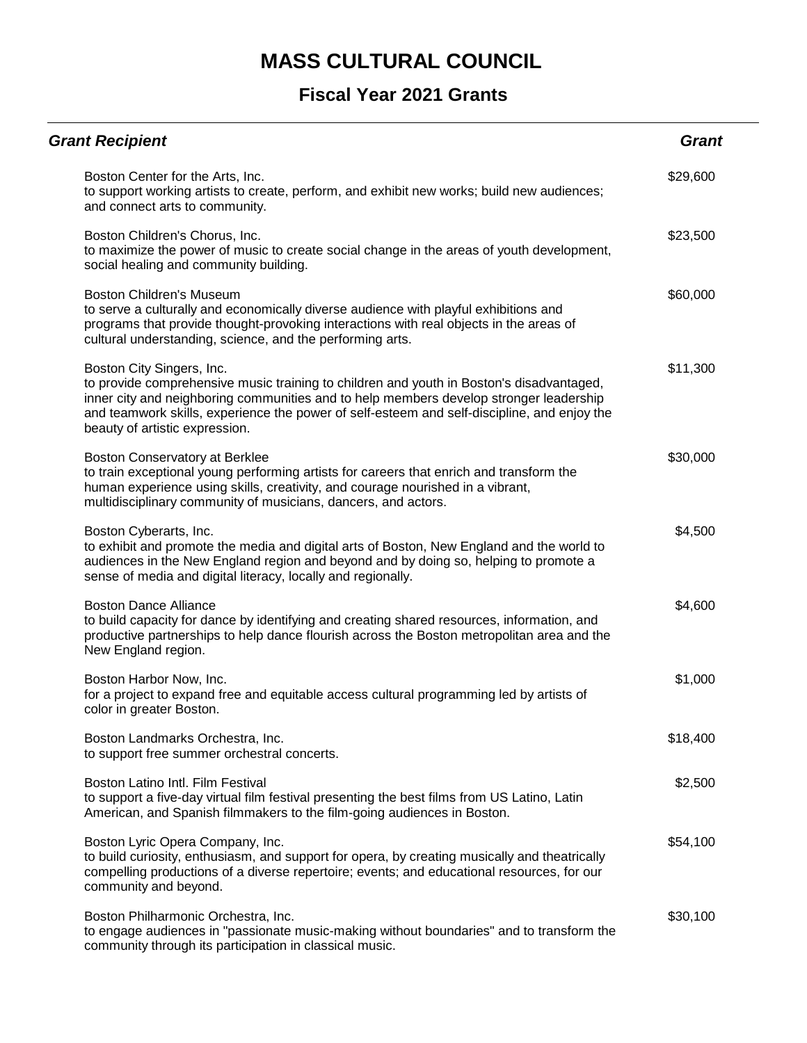| <b>Grant Recipient</b>                                                                                                                                                                                                                                                                                                                           | <b>Grant</b> |
|--------------------------------------------------------------------------------------------------------------------------------------------------------------------------------------------------------------------------------------------------------------------------------------------------------------------------------------------------|--------------|
| Boston Center for the Arts, Inc.<br>to support working artists to create, perform, and exhibit new works; build new audiences;<br>and connect arts to community.                                                                                                                                                                                 | \$29,600     |
| Boston Children's Chorus, Inc.<br>to maximize the power of music to create social change in the areas of youth development,<br>social healing and community building.                                                                                                                                                                            | \$23,500     |
| <b>Boston Children's Museum</b><br>to serve a culturally and economically diverse audience with playful exhibitions and<br>programs that provide thought-provoking interactions with real objects in the areas of<br>cultural understanding, science, and the performing arts.                                                                   | \$60,000     |
| Boston City Singers, Inc.<br>to provide comprehensive music training to children and youth in Boston's disadvantaged,<br>inner city and neighboring communities and to help members develop stronger leadership<br>and teamwork skills, experience the power of self-esteem and self-discipline, and enjoy the<br>beauty of artistic expression. | \$11,300     |
| Boston Conservatory at Berklee<br>to train exceptional young performing artists for careers that enrich and transform the<br>human experience using skills, creativity, and courage nourished in a vibrant,<br>multidisciplinary community of musicians, dancers, and actors.                                                                    | \$30,000     |
| Boston Cyberarts, Inc.<br>to exhibit and promote the media and digital arts of Boston, New England and the world to<br>audiences in the New England region and beyond and by doing so, helping to promote a<br>sense of media and digital literacy, locally and regionally.                                                                      | \$4,500      |
| <b>Boston Dance Alliance</b><br>to build capacity for dance by identifying and creating shared resources, information, and<br>productive partnerships to help dance flourish across the Boston metropolitan area and the<br>New England region.                                                                                                  | \$4,600      |
| Boston Harbor Now, Inc.<br>for a project to expand free and equitable access cultural programming led by artists of<br>color in greater Boston.                                                                                                                                                                                                  | \$1,000      |
| Boston Landmarks Orchestra, Inc.<br>to support free summer orchestral concerts.                                                                                                                                                                                                                                                                  | \$18,400     |
| Boston Latino Intl. Film Festival<br>to support a five-day virtual film festival presenting the best films from US Latino, Latin<br>American, and Spanish filmmakers to the film-going audiences in Boston.                                                                                                                                      | \$2,500      |
| Boston Lyric Opera Company, Inc.<br>to build curiosity, enthusiasm, and support for opera, by creating musically and theatrically<br>compelling productions of a diverse repertoire; events; and educational resources, for our<br>community and beyond.                                                                                         | \$54,100     |
| Boston Philharmonic Orchestra, Inc.<br>to engage audiences in "passionate music-making without boundaries" and to transform the<br>community through its participation in classical music.                                                                                                                                                       | \$30,100     |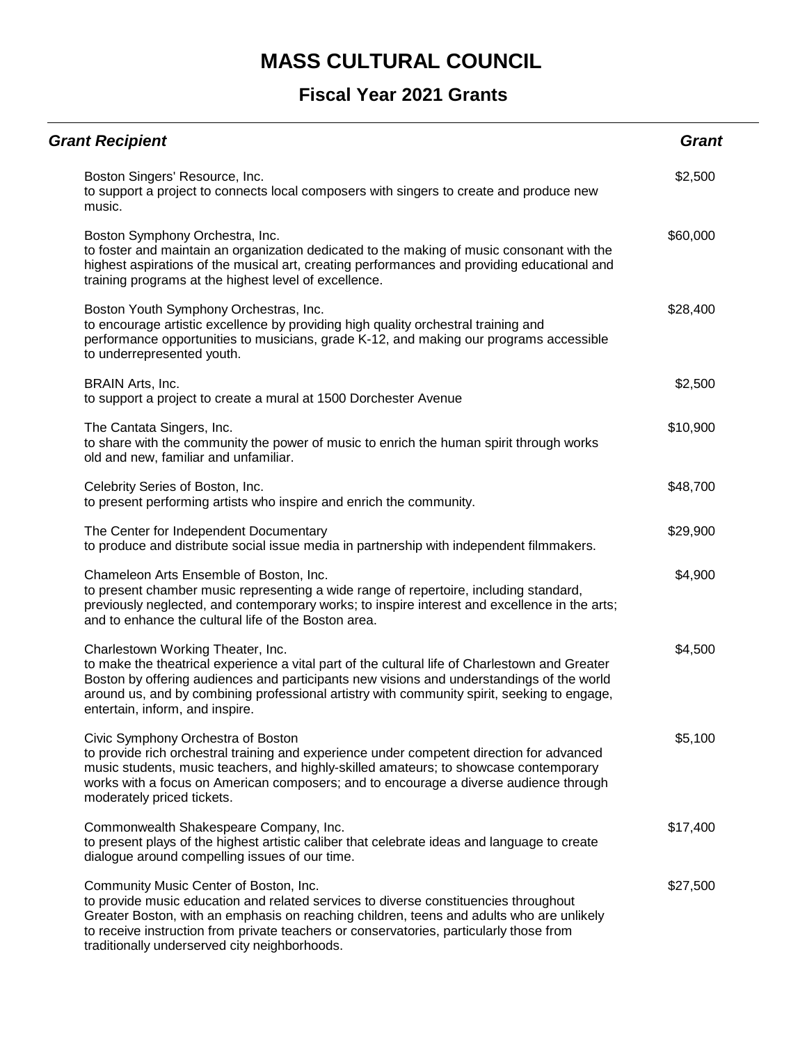| <b>Grant Recipient</b>                                                                                                                                                                                                                                                                                                                                                 | <b>Grant</b> |
|------------------------------------------------------------------------------------------------------------------------------------------------------------------------------------------------------------------------------------------------------------------------------------------------------------------------------------------------------------------------|--------------|
| Boston Singers' Resource, Inc.<br>to support a project to connects local composers with singers to create and produce new<br>music.                                                                                                                                                                                                                                    | \$2,500      |
| Boston Symphony Orchestra, Inc.<br>to foster and maintain an organization dedicated to the making of music consonant with the<br>highest aspirations of the musical art, creating performances and providing educational and<br>training programs at the highest level of excellence.                                                                                  | \$60,000     |
| Boston Youth Symphony Orchestras, Inc.<br>to encourage artistic excellence by providing high quality orchestral training and<br>performance opportunities to musicians, grade K-12, and making our programs accessible<br>to underrepresented youth.                                                                                                                   | \$28,400     |
| BRAIN Arts, Inc.<br>to support a project to create a mural at 1500 Dorchester Avenue                                                                                                                                                                                                                                                                                   | \$2,500      |
| The Cantata Singers, Inc.<br>to share with the community the power of music to enrich the human spirit through works<br>old and new, familiar and unfamiliar.                                                                                                                                                                                                          | \$10,900     |
| Celebrity Series of Boston, Inc.<br>to present performing artists who inspire and enrich the community.                                                                                                                                                                                                                                                                | \$48,700     |
| The Center for Independent Documentary<br>to produce and distribute social issue media in partnership with independent filmmakers.                                                                                                                                                                                                                                     | \$29,900     |
| Chameleon Arts Ensemble of Boston, Inc.<br>to present chamber music representing a wide range of repertoire, including standard,<br>previously neglected, and contemporary works; to inspire interest and excellence in the arts;<br>and to enhance the cultural life of the Boston area.                                                                              | \$4,900      |
| Charlestown Working Theater, Inc.<br>to make the theatrical experience a vital part of the cultural life of Charlestown and Greater<br>Boston by offering audiences and participants new visions and understandings of the world<br>around us, and by combining professional artistry with community spirit, seeking to engage,<br>entertain, inform, and inspire.     | \$4,500      |
| Civic Symphony Orchestra of Boston<br>to provide rich orchestral training and experience under competent direction for advanced<br>music students, music teachers, and highly-skilled amateurs; to showcase contemporary<br>works with a focus on American composers; and to encourage a diverse audience through<br>moderately priced tickets.                        | \$5,100      |
| Commonwealth Shakespeare Company, Inc.<br>to present plays of the highest artistic caliber that celebrate ideas and language to create<br>dialogue around compelling issues of our time.                                                                                                                                                                               | \$17,400     |
| Community Music Center of Boston, Inc.<br>to provide music education and related services to diverse constituencies throughout<br>Greater Boston, with an emphasis on reaching children, teens and adults who are unlikely<br>to receive instruction from private teachers or conservatories, particularly those from<br>traditionally underserved city neighborhoods. | \$27,500     |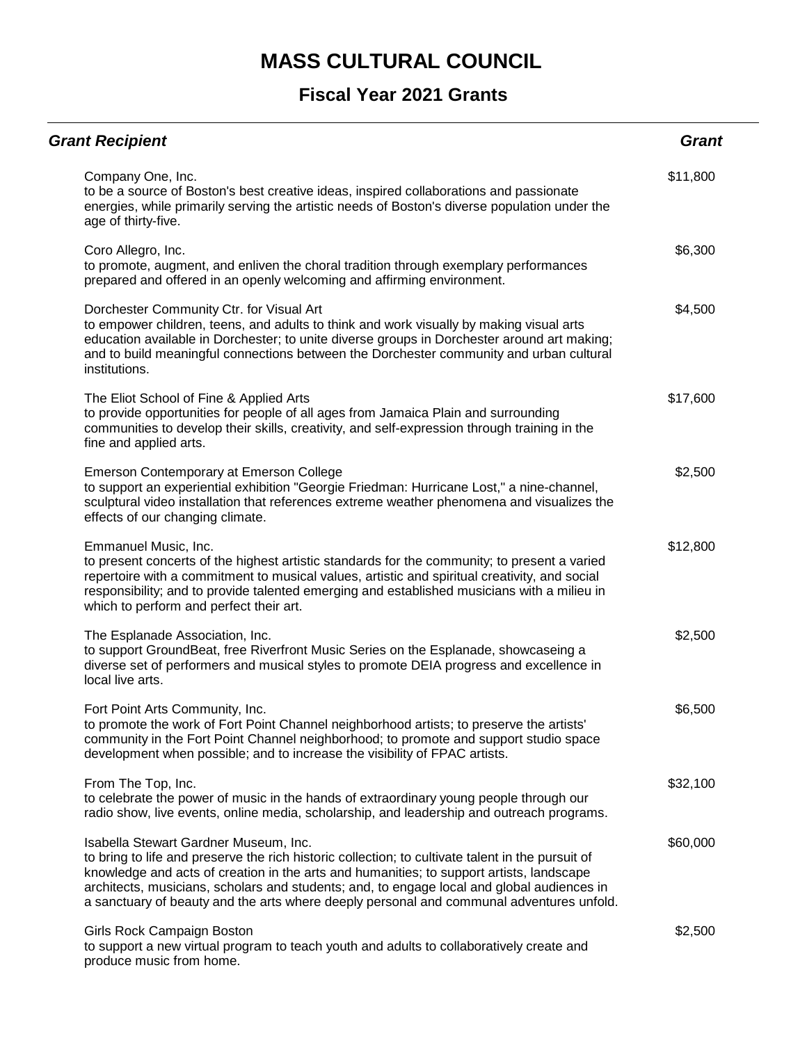| <b>Grant Recipient</b>                                                                                                                                                                                                                                                                                                                                                                                                           | <b>Grant</b> |
|----------------------------------------------------------------------------------------------------------------------------------------------------------------------------------------------------------------------------------------------------------------------------------------------------------------------------------------------------------------------------------------------------------------------------------|--------------|
| Company One, Inc.<br>to be a source of Boston's best creative ideas, inspired collaborations and passionate<br>energies, while primarily serving the artistic needs of Boston's diverse population under the<br>age of thirty-five.                                                                                                                                                                                              | \$11,800     |
| Coro Allegro, Inc.<br>to promote, augment, and enliven the choral tradition through exemplary performances<br>prepared and offered in an openly welcoming and affirming environment.                                                                                                                                                                                                                                             | \$6,300      |
| Dorchester Community Ctr. for Visual Art<br>to empower children, teens, and adults to think and work visually by making visual arts<br>education available in Dorchester; to unite diverse groups in Dorchester around art making;<br>and to build meaningful connections between the Dorchester community and urban cultural<br>institutions.                                                                                   | \$4,500      |
| The Eliot School of Fine & Applied Arts<br>to provide opportunities for people of all ages from Jamaica Plain and surrounding<br>communities to develop their skills, creativity, and self-expression through training in the<br>fine and applied arts.                                                                                                                                                                          | \$17,600     |
| Emerson Contemporary at Emerson College<br>to support an experiential exhibition "Georgie Friedman: Hurricane Lost," a nine-channel,<br>sculptural video installation that references extreme weather phenomena and visualizes the<br>effects of our changing climate.                                                                                                                                                           | \$2,500      |
| Emmanuel Music, Inc.<br>to present concerts of the highest artistic standards for the community; to present a varied<br>repertoire with a commitment to musical values, artistic and spiritual creativity, and social<br>responsibility; and to provide talented emerging and established musicians with a milieu in<br>which to perform and perfect their art.                                                                  | \$12,800     |
| The Esplanade Association, Inc.<br>to support GroundBeat, free Riverfront Music Series on the Esplanade, showcaseing a<br>diverse set of performers and musical styles to promote DEIA progress and excellence in<br>local live arts.                                                                                                                                                                                            | \$2,500      |
| Fort Point Arts Community, Inc.<br>to promote the work of Fort Point Channel neighborhood artists; to preserve the artists'<br>community in the Fort Point Channel neighborhood; to promote and support studio space<br>development when possible; and to increase the visibility of FPAC artists.                                                                                                                               | \$6,500      |
| From The Top, Inc.<br>to celebrate the power of music in the hands of extraordinary young people through our<br>radio show, live events, online media, scholarship, and leadership and outreach programs.                                                                                                                                                                                                                        | \$32,100     |
| Isabella Stewart Gardner Museum, Inc.<br>to bring to life and preserve the rich historic collection; to cultivate talent in the pursuit of<br>knowledge and acts of creation in the arts and humanities; to support artists, landscape<br>architects, musicians, scholars and students; and, to engage local and global audiences in<br>a sanctuary of beauty and the arts where deeply personal and communal adventures unfold. | \$60,000     |
| Girls Rock Campaign Boston<br>to support a new virtual program to teach youth and adults to collaboratively create and<br>produce music from home.                                                                                                                                                                                                                                                                               | \$2,500      |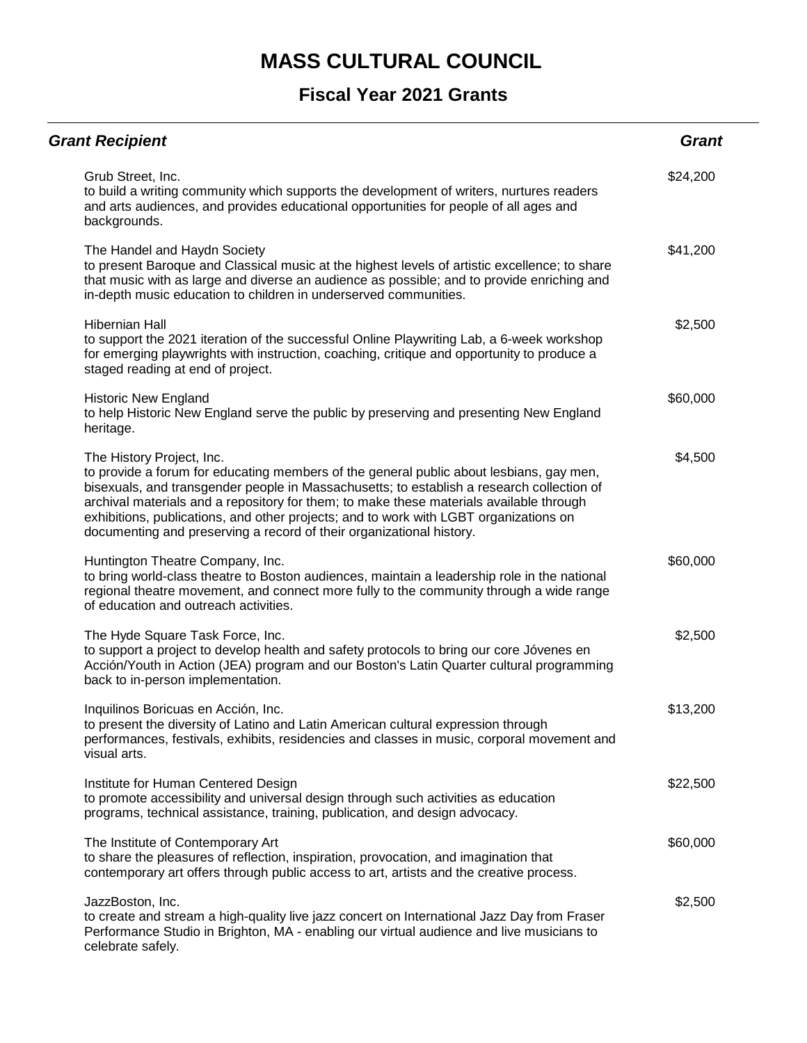| <b>Grant Recipient</b>                                                                                                                                                                                                                                                                                                                                                                                                                                                        | <b>Grant</b> |
|-------------------------------------------------------------------------------------------------------------------------------------------------------------------------------------------------------------------------------------------------------------------------------------------------------------------------------------------------------------------------------------------------------------------------------------------------------------------------------|--------------|
| Grub Street, Inc.<br>to build a writing community which supports the development of writers, nurtures readers<br>and arts audiences, and provides educational opportunities for people of all ages and<br>backgrounds.                                                                                                                                                                                                                                                        | \$24,200     |
| The Handel and Haydn Society<br>to present Baroque and Classical music at the highest levels of artistic excellence; to share<br>that music with as large and diverse an audience as possible; and to provide enriching and<br>in-depth music education to children in underserved communities.                                                                                                                                                                               | \$41,200     |
| <b>Hibernian Hall</b><br>to support the 2021 iteration of the successful Online Playwriting Lab, a 6-week workshop<br>for emerging playwrights with instruction, coaching, critique and opportunity to produce a<br>staged reading at end of project.                                                                                                                                                                                                                         | \$2,500      |
| <b>Historic New England</b><br>to help Historic New England serve the public by preserving and presenting New England<br>heritage.                                                                                                                                                                                                                                                                                                                                            | \$60,000     |
| The History Project, Inc.<br>to provide a forum for educating members of the general public about lesbians, gay men,<br>bisexuals, and transgender people in Massachusetts; to establish a research collection of<br>archival materials and a repository for them; to make these materials available through<br>exhibitions, publications, and other projects; and to work with LGBT organizations on<br>documenting and preserving a record of their organizational history. | \$4,500      |
| Huntington Theatre Company, Inc.<br>to bring world-class theatre to Boston audiences, maintain a leadership role in the national<br>regional theatre movement, and connect more fully to the community through a wide range<br>of education and outreach activities.                                                                                                                                                                                                          | \$60,000     |
| The Hyde Square Task Force, Inc.<br>to support a project to develop health and safety protocols to bring our core Jóvenes en<br>Acción/Youth in Action (JEA) program and our Boston's Latin Quarter cultural programming<br>back to in-person implementation.                                                                                                                                                                                                                 | \$2,500      |
| Inquilinos Boricuas en Acción, Inc.<br>to present the diversity of Latino and Latin American cultural expression through<br>performances, festivals, exhibits, residencies and classes in music, corporal movement and<br>visual arts.                                                                                                                                                                                                                                        | \$13,200     |
| Institute for Human Centered Design<br>to promote accessibility and universal design through such activities as education<br>programs, technical assistance, training, publication, and design advocacy.                                                                                                                                                                                                                                                                      | \$22,500     |
| The Institute of Contemporary Art<br>to share the pleasures of reflection, inspiration, provocation, and imagination that<br>contemporary art offers through public access to art, artists and the creative process.                                                                                                                                                                                                                                                          | \$60,000     |
| JazzBoston, Inc.<br>to create and stream a high-quality live jazz concert on International Jazz Day from Fraser<br>Performance Studio in Brighton, MA - enabling our virtual audience and live musicians to<br>celebrate safely.                                                                                                                                                                                                                                              | \$2,500      |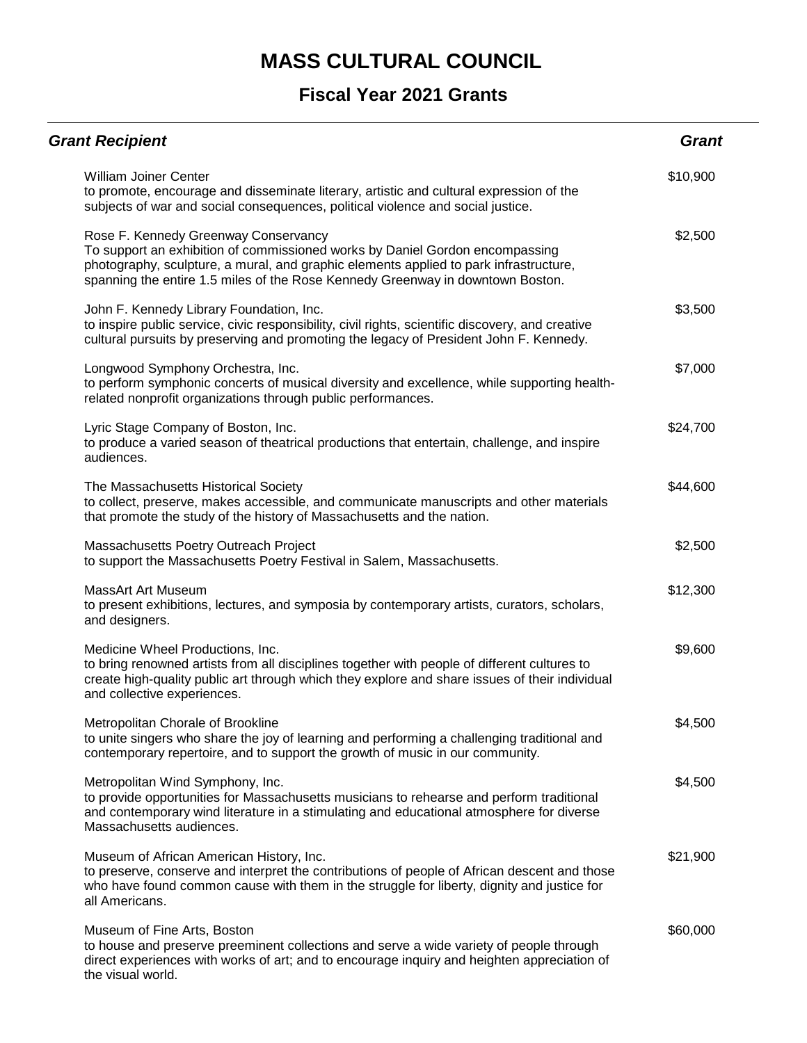| <b>Grant Recipient</b>                                                                                                                                                                                                                                                                          | <b>Grant</b> |
|-------------------------------------------------------------------------------------------------------------------------------------------------------------------------------------------------------------------------------------------------------------------------------------------------|--------------|
| <b>William Joiner Center</b><br>to promote, encourage and disseminate literary, artistic and cultural expression of the<br>subjects of war and social consequences, political violence and social justice.                                                                                      | \$10,900     |
| Rose F. Kennedy Greenway Conservancy<br>To support an exhibition of commissioned works by Daniel Gordon encompassing<br>photography, sculpture, a mural, and graphic elements applied to park infrastructure,<br>spanning the entire 1.5 miles of the Rose Kennedy Greenway in downtown Boston. | \$2,500      |
| John F. Kennedy Library Foundation, Inc.<br>to inspire public service, civic responsibility, civil rights, scientific discovery, and creative<br>cultural pursuits by preserving and promoting the legacy of President John F. Kennedy.                                                         | \$3,500      |
| Longwood Symphony Orchestra, Inc.<br>to perform symphonic concerts of musical diversity and excellence, while supporting health-<br>related nonprofit organizations through public performances.                                                                                                | \$7,000      |
| Lyric Stage Company of Boston, Inc.<br>to produce a varied season of theatrical productions that entertain, challenge, and inspire<br>audiences.                                                                                                                                                | \$24,700     |
| The Massachusetts Historical Society<br>to collect, preserve, makes accessible, and communicate manuscripts and other materials<br>that promote the study of the history of Massachusetts and the nation.                                                                                       | \$44,600     |
| Massachusetts Poetry Outreach Project<br>to support the Massachusetts Poetry Festival in Salem, Massachusetts.                                                                                                                                                                                  | \$2,500      |
| <b>MassArt Art Museum</b><br>to present exhibitions, lectures, and symposia by contemporary artists, curators, scholars,<br>and designers.                                                                                                                                                      | \$12,300     |
| Medicine Wheel Productions, Inc.<br>to bring renowned artists from all disciplines together with people of different cultures to<br>create high-quality public art through which they explore and share issues of their individual<br>and collective experiences.                               | \$9,600      |
| Metropolitan Chorale of Brookline<br>to unite singers who share the joy of learning and performing a challenging traditional and<br>contemporary repertoire, and to support the growth of music in our community.                                                                               | \$4,500      |
| Metropolitan Wind Symphony, Inc.<br>to provide opportunities for Massachusetts musicians to rehearse and perform traditional<br>and contemporary wind literature in a stimulating and educational atmosphere for diverse<br>Massachusetts audiences.                                            | \$4,500      |
| Museum of African American History, Inc.<br>to preserve, conserve and interpret the contributions of people of African descent and those<br>who have found common cause with them in the struggle for liberty, dignity and justice for<br>all Americans.                                        | \$21,900     |
| Museum of Fine Arts, Boston<br>to house and preserve preeminent collections and serve a wide variety of people through<br>direct experiences with works of art; and to encourage inquiry and heighten appreciation of<br>the visual world.                                                      | \$60,000     |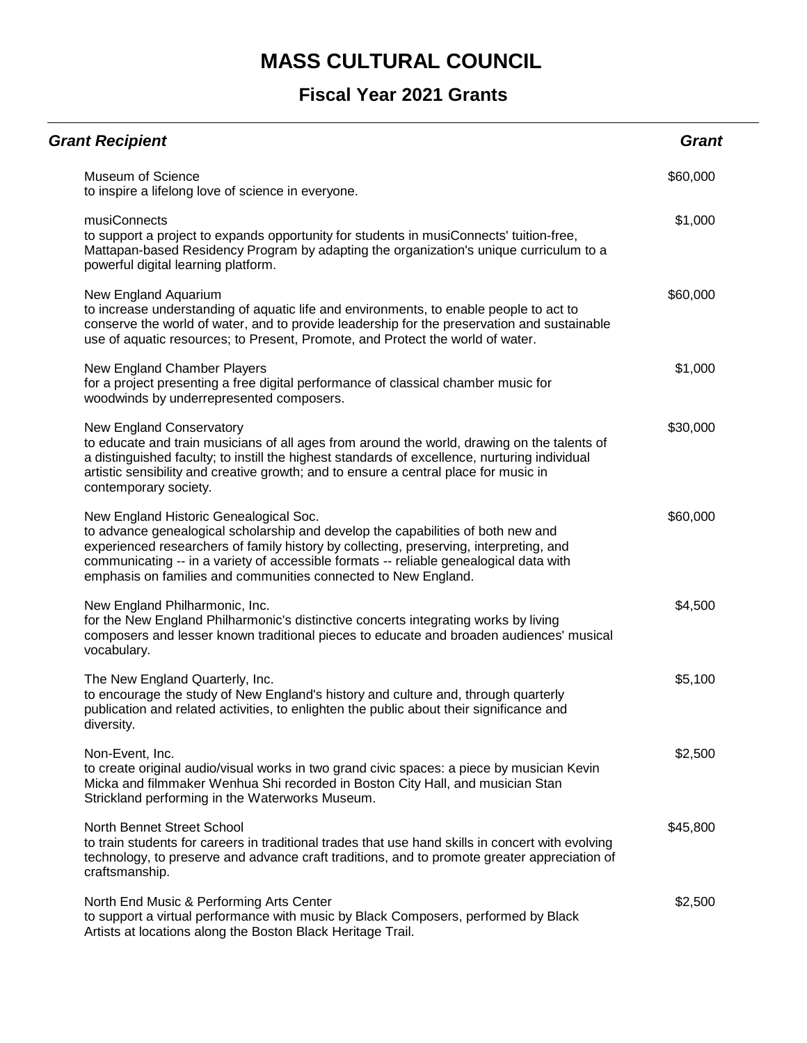| <b>Grant Recipient</b>                                                                                                                                                                                                                                                                                                                                                           | <b>Grant</b> |
|----------------------------------------------------------------------------------------------------------------------------------------------------------------------------------------------------------------------------------------------------------------------------------------------------------------------------------------------------------------------------------|--------------|
| Museum of Science<br>to inspire a lifelong love of science in everyone.                                                                                                                                                                                                                                                                                                          | \$60,000     |
| musiConnects<br>to support a project to expands opportunity for students in musiConnects' tuition-free,<br>Mattapan-based Residency Program by adapting the organization's unique curriculum to a<br>powerful digital learning platform.                                                                                                                                         | \$1,000      |
| New England Aquarium<br>to increase understanding of aquatic life and environments, to enable people to act to<br>conserve the world of water, and to provide leadership for the preservation and sustainable<br>use of aquatic resources; to Present, Promote, and Protect the world of water.                                                                                  | \$60,000     |
| New England Chamber Players<br>for a project presenting a free digital performance of classical chamber music for<br>woodwinds by underrepresented composers.                                                                                                                                                                                                                    | \$1,000      |
| New England Conservatory<br>to educate and train musicians of all ages from around the world, drawing on the talents of<br>a distinguished faculty; to instill the highest standards of excellence, nurturing individual<br>artistic sensibility and creative growth; and to ensure a central place for music in<br>contemporary society.                                        | \$30,000     |
| New England Historic Genealogical Soc.<br>to advance genealogical scholarship and develop the capabilities of both new and<br>experienced researchers of family history by collecting, preserving, interpreting, and<br>communicating -- in a variety of accessible formats -- reliable genealogical data with<br>emphasis on families and communities connected to New England. | \$60,000     |
| New England Philharmonic, Inc.<br>for the New England Philharmonic's distinctive concerts integrating works by living<br>composers and lesser known traditional pieces to educate and broaden audiences' musical<br>vocabulary.                                                                                                                                                  | \$4,500      |
| The New England Quarterly, Inc.<br>to encourage the study of New England's history and culture and, through quarterly<br>publication and related activities, to enlighten the public about their significance and<br>diversity.                                                                                                                                                  | \$5,100      |
| Non-Event, Inc.<br>to create original audio/visual works in two grand civic spaces: a piece by musician Kevin<br>Micka and filmmaker Wenhua Shi recorded in Boston City Hall, and musician Stan<br>Strickland performing in the Waterworks Museum.                                                                                                                               | \$2,500      |
| North Bennet Street School<br>to train students for careers in traditional trades that use hand skills in concert with evolving<br>technology, to preserve and advance craft traditions, and to promote greater appreciation of<br>craftsmanship.                                                                                                                                | \$45,800     |
| North End Music & Performing Arts Center<br>to support a virtual performance with music by Black Composers, performed by Black<br>Artists at locations along the Boston Black Heritage Trail.                                                                                                                                                                                    | \$2,500      |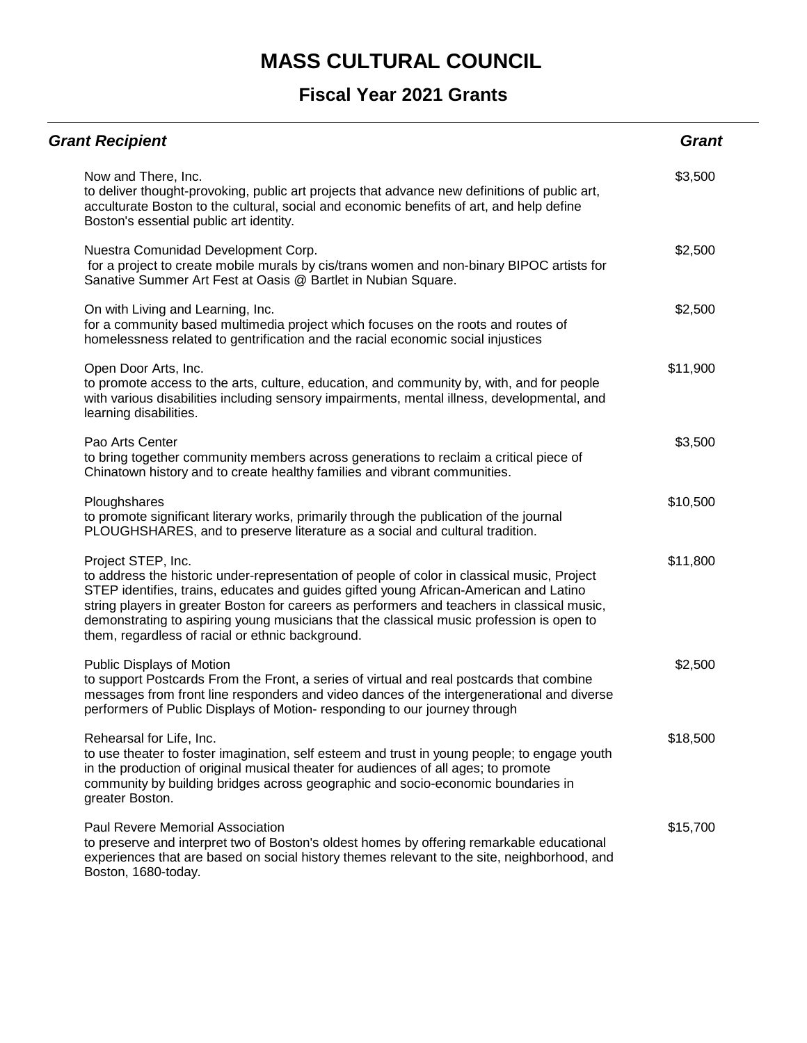| <b>Grant Recipient</b>                                                                                                                                                                                                                                                                                                                                                                                                                                    | <b>Grant</b> |
|-----------------------------------------------------------------------------------------------------------------------------------------------------------------------------------------------------------------------------------------------------------------------------------------------------------------------------------------------------------------------------------------------------------------------------------------------------------|--------------|
| Now and There, Inc.<br>to deliver thought-provoking, public art projects that advance new definitions of public art,<br>acculturate Boston to the cultural, social and economic benefits of art, and help define<br>Boston's essential public art identity.                                                                                                                                                                                               | \$3,500      |
| Nuestra Comunidad Development Corp.<br>for a project to create mobile murals by cis/trans women and non-binary BIPOC artists for<br>Sanative Summer Art Fest at Oasis @ Bartlet in Nubian Square.                                                                                                                                                                                                                                                         | \$2,500      |
| On with Living and Learning, Inc.<br>for a community based multimedia project which focuses on the roots and routes of<br>homelessness related to gentrification and the racial economic social injustices                                                                                                                                                                                                                                                | \$2,500      |
| Open Door Arts, Inc.<br>to promote access to the arts, culture, education, and community by, with, and for people<br>with various disabilities including sensory impairments, mental illness, developmental, and<br>learning disabilities.                                                                                                                                                                                                                | \$11,900     |
| Pao Arts Center<br>to bring together community members across generations to reclaim a critical piece of<br>Chinatown history and to create healthy families and vibrant communities.                                                                                                                                                                                                                                                                     | \$3,500      |
| Ploughshares<br>to promote significant literary works, primarily through the publication of the journal<br>PLOUGHSHARES, and to preserve literature as a social and cultural tradition.                                                                                                                                                                                                                                                                   | \$10,500     |
| Project STEP, Inc.<br>to address the historic under-representation of people of color in classical music, Project<br>STEP identifies, trains, educates and guides gifted young African-American and Latino<br>string players in greater Boston for careers as performers and teachers in classical music,<br>demonstrating to aspiring young musicians that the classical music profession is open to<br>them, regardless of racial or ethnic background. | \$11,800     |
| Public Displays of Motion<br>to support Postcards From the Front, a series of virtual and real postcards that combine<br>messages from front line responders and video dances of the intergenerational and diverse<br>performers of Public Displays of Motion- responding to our journey through                                                                                                                                                          | \$2,500      |
| Rehearsal for Life, Inc.<br>to use theater to foster imagination, self esteem and trust in young people; to engage youth<br>in the production of original musical theater for audiences of all ages; to promote<br>community by building bridges across geographic and socio-economic boundaries in<br>greater Boston.                                                                                                                                    | \$18,500     |
| Paul Revere Memorial Association<br>to preserve and interpret two of Boston's oldest homes by offering remarkable educational<br>experiences that are based on social history themes relevant to the site, neighborhood, and<br>Boston, 1680-today.                                                                                                                                                                                                       | \$15,700     |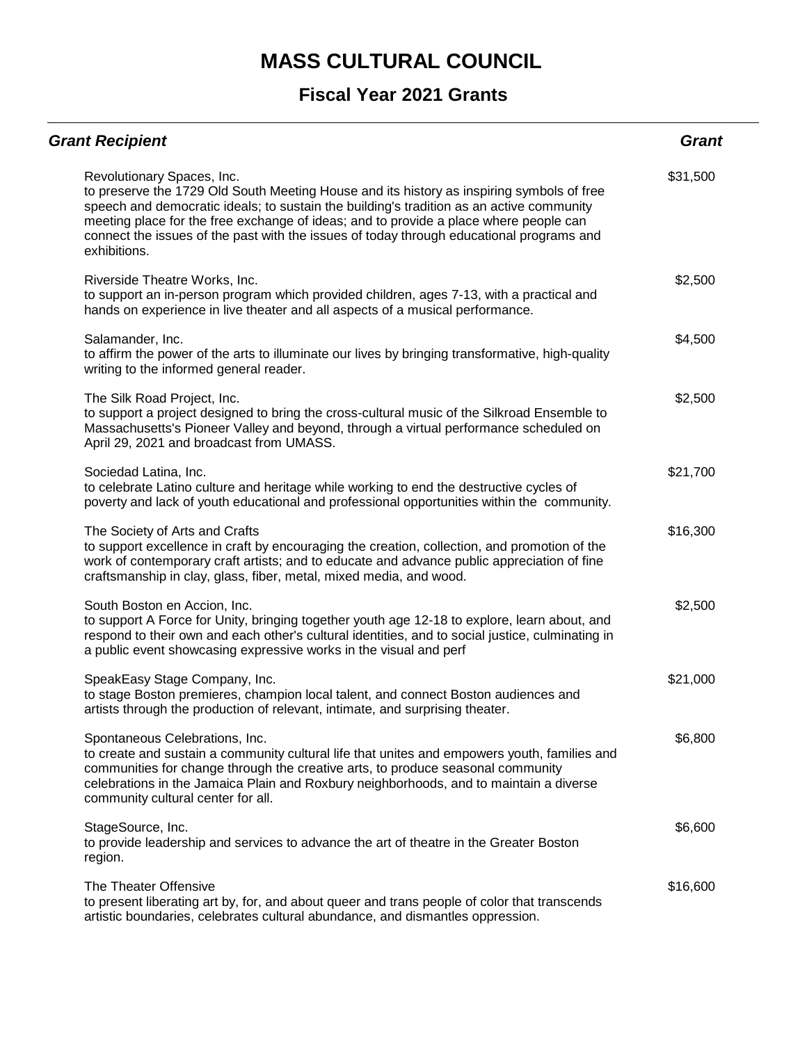| <b>Grant Recipient</b>                                                                                                                                                                                                                                                                                                                                                                                                   | <b>Grant</b> |
|--------------------------------------------------------------------------------------------------------------------------------------------------------------------------------------------------------------------------------------------------------------------------------------------------------------------------------------------------------------------------------------------------------------------------|--------------|
| Revolutionary Spaces, Inc.<br>to preserve the 1729 Old South Meeting House and its history as inspiring symbols of free<br>speech and democratic ideals; to sustain the building's tradition as an active community<br>meeting place for the free exchange of ideas; and to provide a place where people can<br>connect the issues of the past with the issues of today through educational programs and<br>exhibitions. | \$31,500     |
| Riverside Theatre Works, Inc.<br>to support an in-person program which provided children, ages 7-13, with a practical and<br>hands on experience in live theater and all aspects of a musical performance.                                                                                                                                                                                                               | \$2,500      |
| Salamander, Inc.<br>to affirm the power of the arts to illuminate our lives by bringing transformative, high-quality<br>writing to the informed general reader.                                                                                                                                                                                                                                                          | \$4,500      |
| The Silk Road Project, Inc.<br>to support a project designed to bring the cross-cultural music of the Silkroad Ensemble to<br>Massachusetts's Pioneer Valley and beyond, through a virtual performance scheduled on<br>April 29, 2021 and broadcast from UMASS.                                                                                                                                                          | \$2,500      |
| Sociedad Latina, Inc.<br>to celebrate Latino culture and heritage while working to end the destructive cycles of<br>poverty and lack of youth educational and professional opportunities within the community.                                                                                                                                                                                                           | \$21,700     |
| The Society of Arts and Crafts<br>to support excellence in craft by encouraging the creation, collection, and promotion of the<br>work of contemporary craft artists; and to educate and advance public appreciation of fine<br>craftsmanship in clay, glass, fiber, metal, mixed media, and wood.                                                                                                                       | \$16,300     |
| South Boston en Accion, Inc.<br>to support A Force for Unity, bringing together youth age 12-18 to explore, learn about, and<br>respond to their own and each other's cultural identities, and to social justice, culminating in<br>a public event showcasing expressive works in the visual and perf                                                                                                                    | \$2,500      |
| SpeakEasy Stage Company, Inc.<br>to stage Boston premieres, champion local talent, and connect Boston audiences and<br>artists through the production of relevant, intimate, and surprising theater.                                                                                                                                                                                                                     | \$21,000     |
| Spontaneous Celebrations, Inc.<br>to create and sustain a community cultural life that unites and empowers youth, families and<br>communities for change through the creative arts, to produce seasonal community<br>celebrations in the Jamaica Plain and Roxbury neighborhoods, and to maintain a diverse<br>community cultural center for all.                                                                        | \$6,800      |
| StageSource, Inc.<br>to provide leadership and services to advance the art of theatre in the Greater Boston<br>region.                                                                                                                                                                                                                                                                                                   | \$6,600      |
| The Theater Offensive<br>to present liberating art by, for, and about queer and trans people of color that transcends<br>artistic boundaries, celebrates cultural abundance, and dismantles oppression.                                                                                                                                                                                                                  | \$16,600     |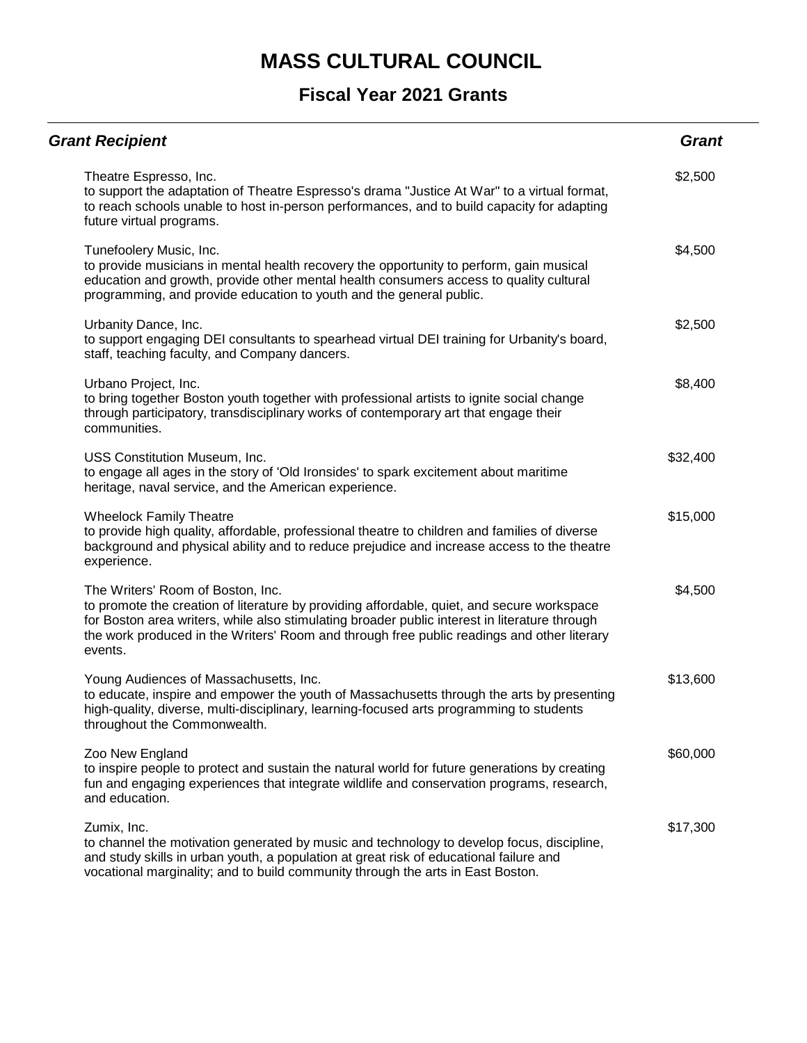| <b>Grant Recipient</b>                                                                                                                                                                                                                                                                                                                    | <b>Grant</b> |
|-------------------------------------------------------------------------------------------------------------------------------------------------------------------------------------------------------------------------------------------------------------------------------------------------------------------------------------------|--------------|
| Theatre Espresso, Inc.<br>to support the adaptation of Theatre Espresso's drama "Justice At War" to a virtual format,<br>to reach schools unable to host in-person performances, and to build capacity for adapting<br>future virtual programs.                                                                                           | \$2,500      |
| Tunefoolery Music, Inc.<br>to provide musicians in mental health recovery the opportunity to perform, gain musical<br>education and growth, provide other mental health consumers access to quality cultural<br>programming, and provide education to youth and the general public.                                                       | \$4,500      |
| Urbanity Dance, Inc.<br>to support engaging DEI consultants to spearhead virtual DEI training for Urbanity's board,<br>staff, teaching faculty, and Company dancers.                                                                                                                                                                      | \$2,500      |
| Urbano Project, Inc.<br>to bring together Boston youth together with professional artists to ignite social change<br>through participatory, transdisciplinary works of contemporary art that engage their<br>communities.                                                                                                                 | \$8,400      |
| USS Constitution Museum, Inc.<br>to engage all ages in the story of 'Old Ironsides' to spark excitement about maritime<br>heritage, naval service, and the American experience.                                                                                                                                                           | \$32,400     |
| <b>Wheelock Family Theatre</b><br>to provide high quality, affordable, professional theatre to children and families of diverse<br>background and physical ability and to reduce prejudice and increase access to the theatre<br>experience.                                                                                              | \$15,000     |
| The Writers' Room of Boston, Inc.<br>to promote the creation of literature by providing affordable, quiet, and secure workspace<br>for Boston area writers, while also stimulating broader public interest in literature through<br>the work produced in the Writers' Room and through free public readings and other literary<br>events. | \$4,500      |
| Young Audiences of Massachusetts, Inc.<br>to educate, inspire and empower the youth of Massachusetts through the arts by presenting<br>high-quality, diverse, multi-disciplinary, learning-focused arts programming to students<br>throughout the Commonwealth.                                                                           | \$13,600     |
| Zoo New England<br>to inspire people to protect and sustain the natural world for future generations by creating<br>fun and engaging experiences that integrate wildlife and conservation programs, research,<br>and education.                                                                                                           | \$60,000     |
| Zumix, Inc.<br>to channel the motivation generated by music and technology to develop focus, discipline,<br>and study skills in urban youth, a population at great risk of educational failure and<br>vocational marginality; and to build community through the arts in East Boston.                                                     | \$17,300     |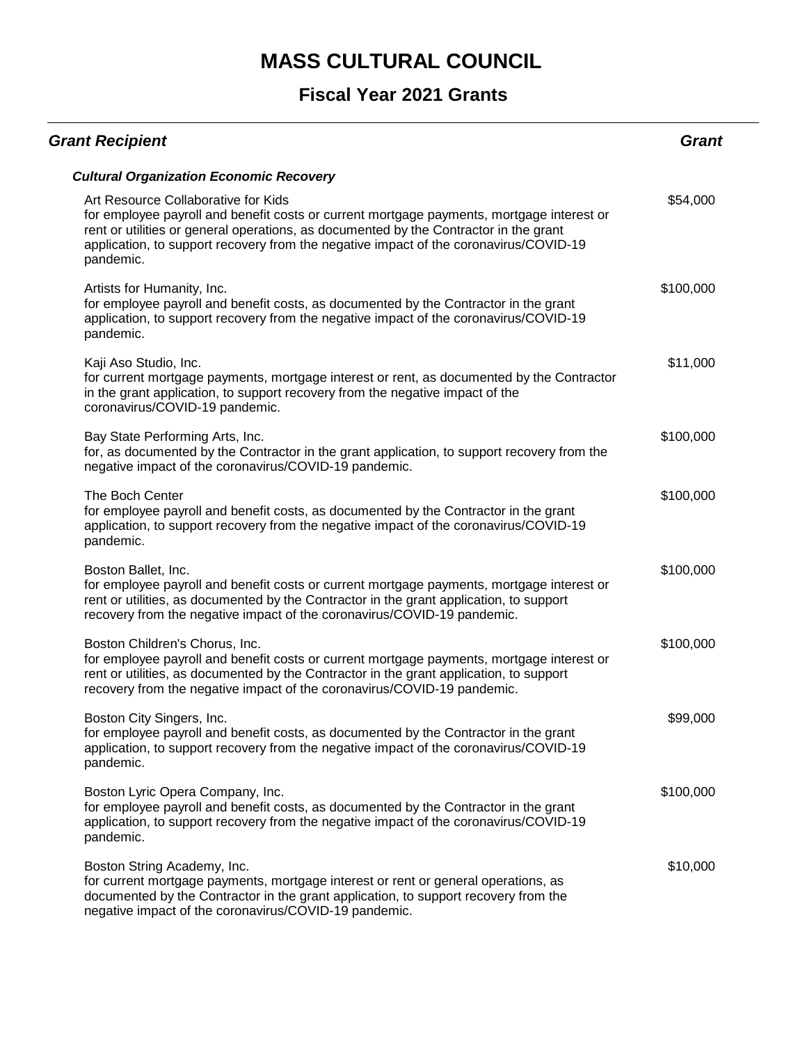| <b>Grant Recipient</b>                                                                                                                                                                                                                                                                                                          | Grant     |
|---------------------------------------------------------------------------------------------------------------------------------------------------------------------------------------------------------------------------------------------------------------------------------------------------------------------------------|-----------|
| <b>Cultural Organization Economic Recovery</b>                                                                                                                                                                                                                                                                                  |           |
| Art Resource Collaborative for Kids<br>for employee payroll and benefit costs or current mortgage payments, mortgage interest or<br>rent or utilities or general operations, as documented by the Contractor in the grant<br>application, to support recovery from the negative impact of the coronavirus/COVID-19<br>pandemic. | \$54,000  |
| Artists for Humanity, Inc.<br>for employee payroll and benefit costs, as documented by the Contractor in the grant<br>application, to support recovery from the negative impact of the coronavirus/COVID-19<br>pandemic.                                                                                                        | \$100,000 |
| Kaji Aso Studio, Inc.<br>for current mortgage payments, mortgage interest or rent, as documented by the Contractor<br>in the grant application, to support recovery from the negative impact of the<br>coronavirus/COVID-19 pandemic.                                                                                           | \$11,000  |
| Bay State Performing Arts, Inc.<br>for, as documented by the Contractor in the grant application, to support recovery from the<br>negative impact of the coronavirus/COVID-19 pandemic.                                                                                                                                         | \$100,000 |
| The Boch Center<br>for employee payroll and benefit costs, as documented by the Contractor in the grant<br>application, to support recovery from the negative impact of the coronavirus/COVID-19<br>pandemic.                                                                                                                   | \$100,000 |
| Boston Ballet, Inc.<br>for employee payroll and benefit costs or current mortgage payments, mortgage interest or<br>rent or utilities, as documented by the Contractor in the grant application, to support<br>recovery from the negative impact of the coronavirus/COVID-19 pandemic.                                          | \$100,000 |
| Boston Children's Chorus, Inc.<br>for employee payroll and benefit costs or current mortgage payments, mortgage interest or<br>rent or utilities, as documented by the Contractor in the grant application, to support<br>recovery from the negative impact of the coronavirus/COVID-19 pandemic.                               | \$100,000 |
| Boston City Singers, Inc.<br>for employee payroll and benefit costs, as documented by the Contractor in the grant<br>application, to support recovery from the negative impact of the coronavirus/COVID-19<br>pandemic.                                                                                                         | \$99,000  |
| Boston Lyric Opera Company, Inc.<br>for employee payroll and benefit costs, as documented by the Contractor in the grant<br>application, to support recovery from the negative impact of the coronavirus/COVID-19<br>pandemic.                                                                                                  | \$100,000 |
| Boston String Academy, Inc.<br>for current mortgage payments, mortgage interest or rent or general operations, as<br>documented by the Contractor in the grant application, to support recovery from the<br>negative impact of the coronavirus/COVID-19 pandemic.                                                               | \$10,000  |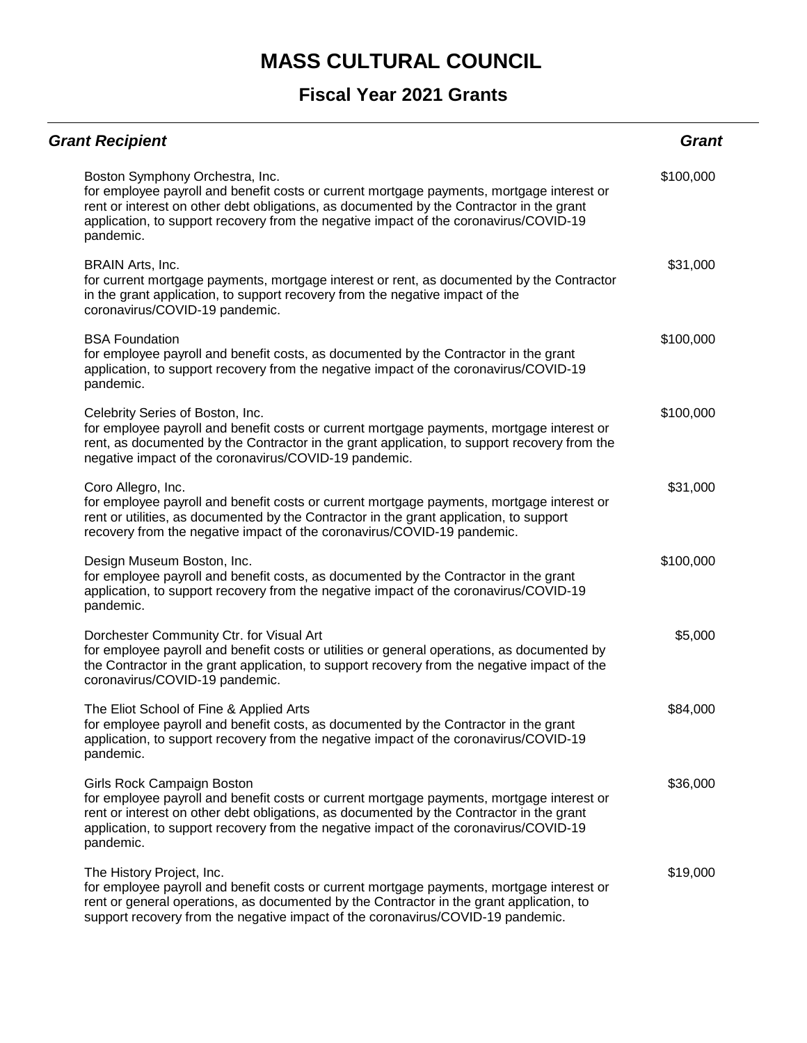| <b>Grant Recipient</b>                                                                                                                                                                                                                                                                                                         | Grant     |
|--------------------------------------------------------------------------------------------------------------------------------------------------------------------------------------------------------------------------------------------------------------------------------------------------------------------------------|-----------|
| Boston Symphony Orchestra, Inc.<br>for employee payroll and benefit costs or current mortgage payments, mortgage interest or<br>rent or interest on other debt obligations, as documented by the Contractor in the grant<br>application, to support recovery from the negative impact of the coronavirus/COVID-19<br>pandemic. | \$100,000 |
| BRAIN Arts, Inc.<br>for current mortgage payments, mortgage interest or rent, as documented by the Contractor<br>in the grant application, to support recovery from the negative impact of the<br>coronavirus/COVID-19 pandemic.                                                                                               | \$31,000  |
| <b>BSA Foundation</b><br>for employee payroll and benefit costs, as documented by the Contractor in the grant<br>application, to support recovery from the negative impact of the coronavirus/COVID-19<br>pandemic.                                                                                                            | \$100,000 |
| Celebrity Series of Boston, Inc.<br>for employee payroll and benefit costs or current mortgage payments, mortgage interest or<br>rent, as documented by the Contractor in the grant application, to support recovery from the<br>negative impact of the coronavirus/COVID-19 pandemic.                                         | \$100,000 |
| Coro Allegro, Inc.<br>for employee payroll and benefit costs or current mortgage payments, mortgage interest or<br>rent or utilities, as documented by the Contractor in the grant application, to support<br>recovery from the negative impact of the coronavirus/COVID-19 pandemic.                                          | \$31,000  |
| Design Museum Boston, Inc.<br>for employee payroll and benefit costs, as documented by the Contractor in the grant<br>application, to support recovery from the negative impact of the coronavirus/COVID-19<br>pandemic.                                                                                                       | \$100,000 |
| Dorchester Community Ctr. for Visual Art<br>for employee payroll and benefit costs or utilities or general operations, as documented by<br>the Contractor in the grant application, to support recovery from the negative impact of the<br>coronavirus/COVID-19 pandemic.                                                      | \$5,000   |
| The Eliot School of Fine & Applied Arts<br>for employee payroll and benefit costs, as documented by the Contractor in the grant<br>application, to support recovery from the negative impact of the coronavirus/COVID-19<br>pandemic.                                                                                          | \$84,000  |
| Girls Rock Campaign Boston<br>for employee payroll and benefit costs or current mortgage payments, mortgage interest or<br>rent or interest on other debt obligations, as documented by the Contractor in the grant<br>application, to support recovery from the negative impact of the coronavirus/COVID-19<br>pandemic.      | \$36,000  |
| The History Project, Inc.<br>for employee payroll and benefit costs or current mortgage payments, mortgage interest or<br>rent or general operations, as documented by the Contractor in the grant application, to<br>support recovery from the negative impact of the coronavirus/COVID-19 pandemic.                          | \$19,000  |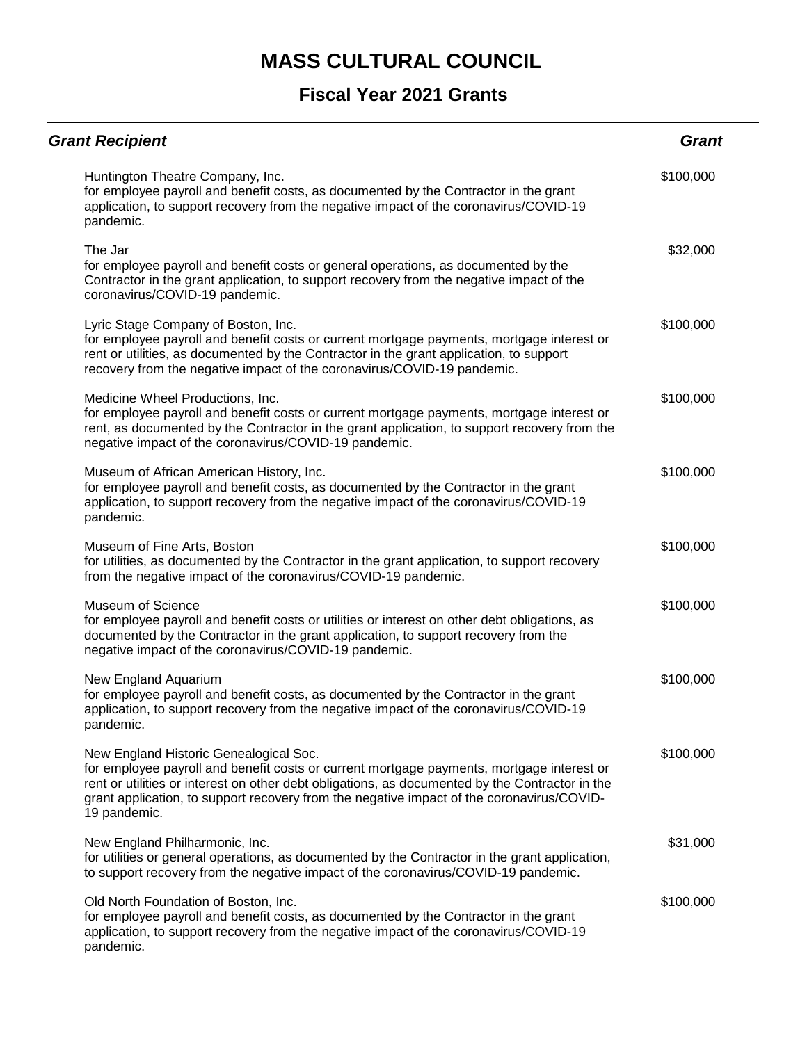| <b>Grant Recipient</b>                                                                                                                                                                                                                                                                                                                              | <b>Grant</b> |
|-----------------------------------------------------------------------------------------------------------------------------------------------------------------------------------------------------------------------------------------------------------------------------------------------------------------------------------------------------|--------------|
| Huntington Theatre Company, Inc.<br>for employee payroll and benefit costs, as documented by the Contractor in the grant<br>application, to support recovery from the negative impact of the coronavirus/COVID-19<br>pandemic.                                                                                                                      | \$100,000    |
| The Jar<br>for employee payroll and benefit costs or general operations, as documented by the<br>Contractor in the grant application, to support recovery from the negative impact of the<br>coronavirus/COVID-19 pandemic.                                                                                                                         | \$32,000     |
| Lyric Stage Company of Boston, Inc.<br>for employee payroll and benefit costs or current mortgage payments, mortgage interest or<br>rent or utilities, as documented by the Contractor in the grant application, to support<br>recovery from the negative impact of the coronavirus/COVID-19 pandemic.                                              | \$100,000    |
| Medicine Wheel Productions, Inc.<br>for employee payroll and benefit costs or current mortgage payments, mortgage interest or<br>rent, as documented by the Contractor in the grant application, to support recovery from the<br>negative impact of the coronavirus/COVID-19 pandemic.                                                              | \$100,000    |
| Museum of African American History, Inc.<br>for employee payroll and benefit costs, as documented by the Contractor in the grant<br>application, to support recovery from the negative impact of the coronavirus/COVID-19<br>pandemic.                                                                                                              | \$100,000    |
| Museum of Fine Arts, Boston<br>for utilities, as documented by the Contractor in the grant application, to support recovery<br>from the negative impact of the coronavirus/COVID-19 pandemic.                                                                                                                                                       | \$100,000    |
| <b>Museum of Science</b><br>for employee payroll and benefit costs or utilities or interest on other debt obligations, as<br>documented by the Contractor in the grant application, to support recovery from the<br>negative impact of the coronavirus/COVID-19 pandemic.                                                                           | \$100,000    |
| New England Aquarium<br>for employee payroll and benefit costs, as documented by the Contractor in the grant<br>application, to support recovery from the negative impact of the coronavirus/COVID-19<br>pandemic.                                                                                                                                  | \$100,000    |
| New England Historic Genealogical Soc.<br>for employee payroll and benefit costs or current mortgage payments, mortgage interest or<br>rent or utilities or interest on other debt obligations, as documented by the Contractor in the<br>grant application, to support recovery from the negative impact of the coronavirus/COVID-<br>19 pandemic. | \$100,000    |
| New England Philharmonic, Inc.<br>for utilities or general operations, as documented by the Contractor in the grant application,<br>to support recovery from the negative impact of the coronavirus/COVID-19 pandemic.                                                                                                                              | \$31,000     |
| Old North Foundation of Boston, Inc.<br>for employee payroll and benefit costs, as documented by the Contractor in the grant<br>application, to support recovery from the negative impact of the coronavirus/COVID-19<br>pandemic.                                                                                                                  | \$100,000    |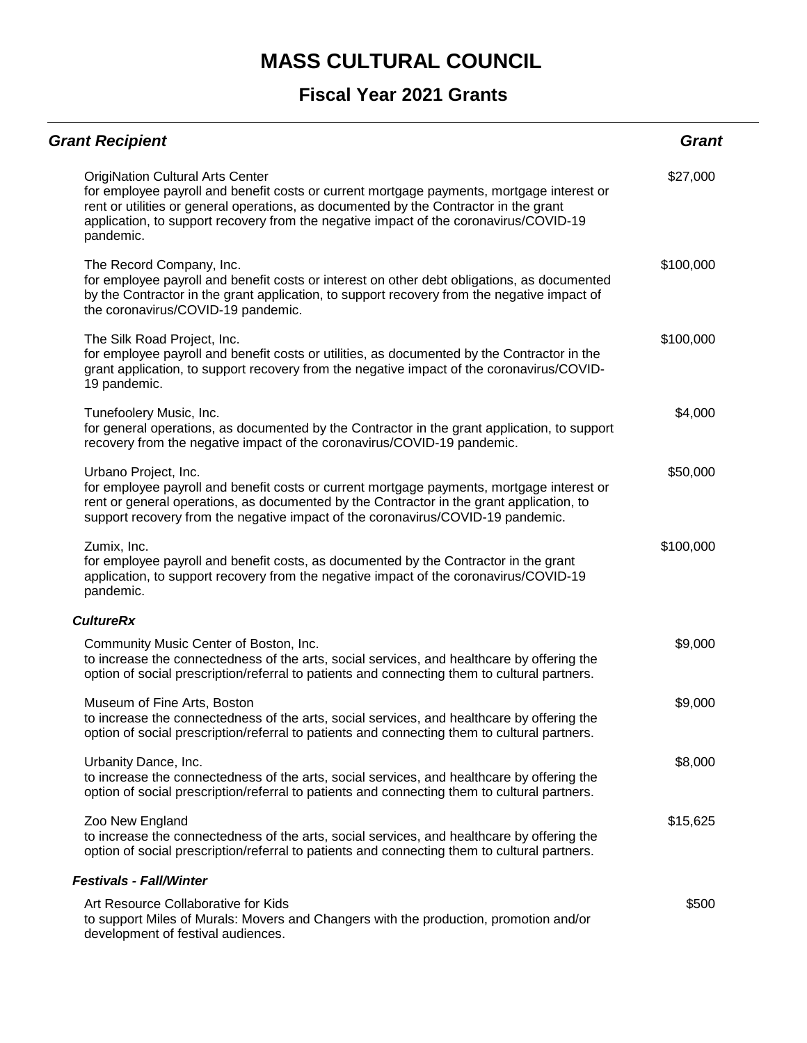| <b>Grant Recipient</b>                                                                                                                                                                                                                                                                                                              | <b>Grant</b> |
|-------------------------------------------------------------------------------------------------------------------------------------------------------------------------------------------------------------------------------------------------------------------------------------------------------------------------------------|--------------|
| <b>OrigiNation Cultural Arts Center</b><br>for employee payroll and benefit costs or current mortgage payments, mortgage interest or<br>rent or utilities or general operations, as documented by the Contractor in the grant<br>application, to support recovery from the negative impact of the coronavirus/COVID-19<br>pandemic. | \$27,000     |
| The Record Company, Inc.<br>for employee payroll and benefit costs or interest on other debt obligations, as documented<br>by the Contractor in the grant application, to support recovery from the negative impact of<br>the coronavirus/COVID-19 pandemic.                                                                        | \$100,000    |
| The Silk Road Project, Inc.<br>for employee payroll and benefit costs or utilities, as documented by the Contractor in the<br>grant application, to support recovery from the negative impact of the coronavirus/COVID-<br>19 pandemic.                                                                                             | \$100,000    |
| Tunefoolery Music, Inc.<br>for general operations, as documented by the Contractor in the grant application, to support<br>recovery from the negative impact of the coronavirus/COVID-19 pandemic.                                                                                                                                  | \$4,000      |
| Urbano Project, Inc.<br>for employee payroll and benefit costs or current mortgage payments, mortgage interest or<br>rent or general operations, as documented by the Contractor in the grant application, to<br>support recovery from the negative impact of the coronavirus/COVID-19 pandemic.                                    | \$50,000     |
| Zumix, Inc.<br>for employee payroll and benefit costs, as documented by the Contractor in the grant<br>application, to support recovery from the negative impact of the coronavirus/COVID-19<br>pandemic.                                                                                                                           | \$100,000    |
| <b>CultureRx</b>                                                                                                                                                                                                                                                                                                                    |              |
| Community Music Center of Boston, Inc.<br>to increase the connectedness of the arts, social services, and healthcare by offering the<br>option of social prescription/referral to patients and connecting them to cultural partners.                                                                                                | \$9,000      |
| Museum of Fine Arts, Boston<br>to increase the connectedness of the arts, social services, and healthcare by offering the<br>option of social prescription/referral to patients and connecting them to cultural partners.                                                                                                           | \$9,000      |
| Urbanity Dance, Inc.<br>to increase the connectedness of the arts, social services, and healthcare by offering the<br>option of social prescription/referral to patients and connecting them to cultural partners.                                                                                                                  | \$8,000      |
| Zoo New England<br>to increase the connectedness of the arts, social services, and healthcare by offering the<br>option of social prescription/referral to patients and connecting them to cultural partners.                                                                                                                       | \$15,625     |
| <b>Festivals - Fall/Winter</b>                                                                                                                                                                                                                                                                                                      |              |
| Art Resource Collaborative for Kids<br>to support Miles of Murals: Movers and Changers with the production, promotion and/or<br>development of festival audiences.                                                                                                                                                                  | \$500        |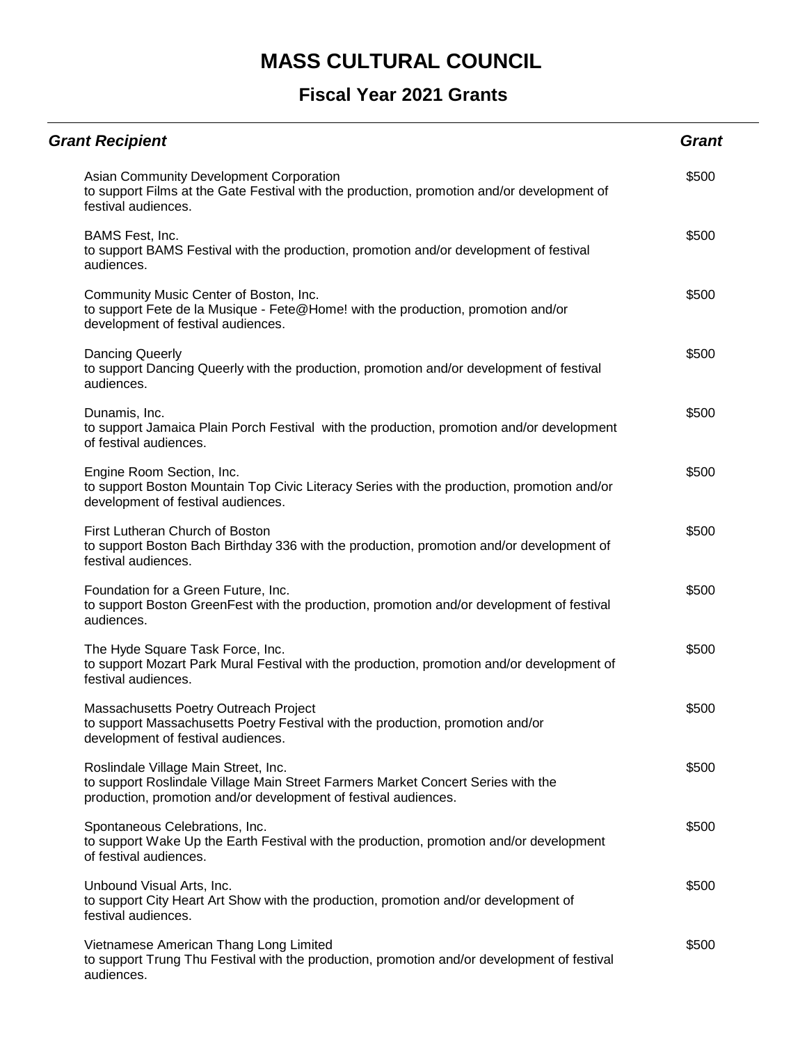| <b>Grant Recipient</b>                                                                                                                                                                      | <b>Grant</b> |
|---------------------------------------------------------------------------------------------------------------------------------------------------------------------------------------------|--------------|
| Asian Community Development Corporation<br>to support Films at the Gate Festival with the production, promotion and/or development of<br>festival audiences.                                | \$500        |
| BAMS Fest, Inc.<br>to support BAMS Festival with the production, promotion and/or development of festival<br>audiences.                                                                     | \$500        |
| Community Music Center of Boston, Inc.<br>to support Fete de la Musique - Fete@Home! with the production, promotion and/or<br>development of festival audiences.                            | \$500        |
| Dancing Queerly<br>to support Dancing Queerly with the production, promotion and/or development of festival<br>audiences.                                                                   | \$500        |
| Dunamis, Inc.<br>to support Jamaica Plain Porch Festival with the production, promotion and/or development<br>of festival audiences.                                                        | \$500        |
| Engine Room Section, Inc.<br>to support Boston Mountain Top Civic Literacy Series with the production, promotion and/or<br>development of festival audiences.                               | \$500        |
| First Lutheran Church of Boston<br>to support Boston Bach Birthday 336 with the production, promotion and/or development of<br>festival audiences.                                          | \$500        |
| Foundation for a Green Future, Inc.<br>to support Boston GreenFest with the production, promotion and/or development of festival<br>audiences.                                              | \$500        |
| The Hyde Square Task Force, Inc.<br>to support Mozart Park Mural Festival with the production, promotion and/or development of<br>festival audiences.                                       | \$500        |
| Massachusetts Poetry Outreach Project<br>to support Massachusetts Poetry Festival with the production, promotion and/or<br>development of festival audiences.                               | \$500        |
| Roslindale Village Main Street, Inc.<br>to support Roslindale Village Main Street Farmers Market Concert Series with the<br>production, promotion and/or development of festival audiences. | \$500        |
| Spontaneous Celebrations, Inc.<br>to support Wake Up the Earth Festival with the production, promotion and/or development<br>of festival audiences.                                         | \$500        |
| Unbound Visual Arts, Inc.<br>to support City Heart Art Show with the production, promotion and/or development of<br>festival audiences.                                                     | \$500        |
| Vietnamese American Thang Long Limited<br>to support Trung Thu Festival with the production, promotion and/or development of festival<br>audiences.                                         | \$500        |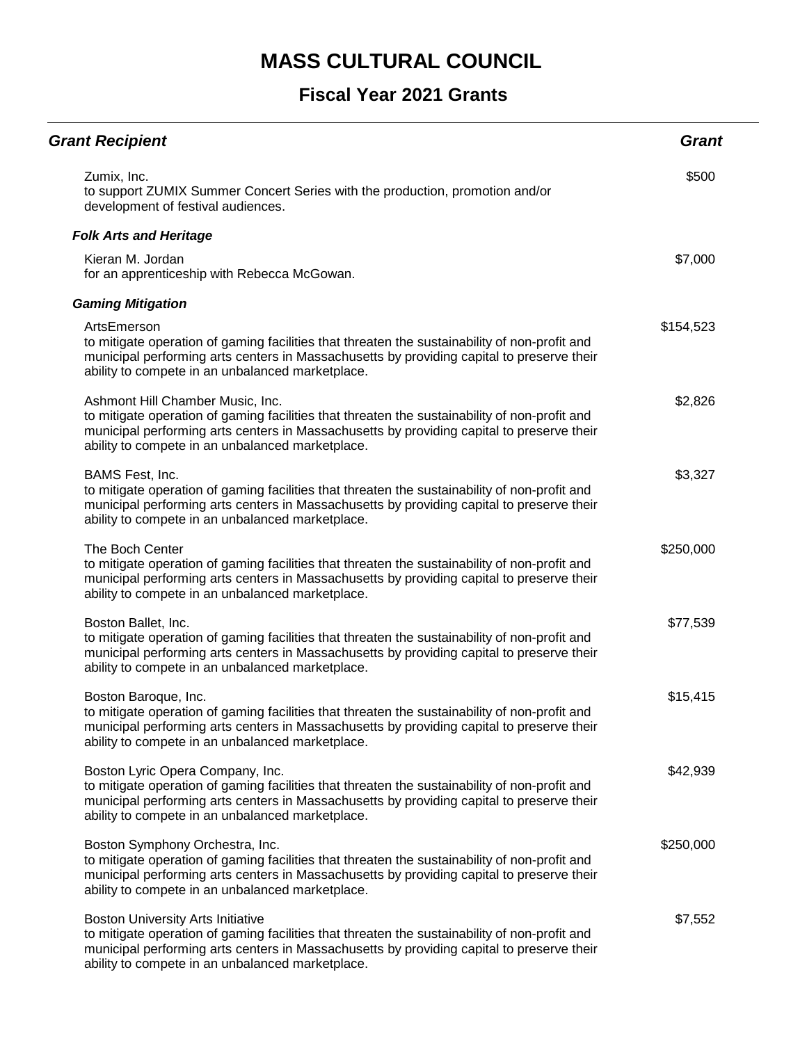| <b>Grant Recipient</b>                                                                                                                                                                                                                                                                     | <b>Grant</b> |
|--------------------------------------------------------------------------------------------------------------------------------------------------------------------------------------------------------------------------------------------------------------------------------------------|--------------|
| Zumix, Inc.<br>to support ZUMIX Summer Concert Series with the production, promotion and/or<br>development of festival audiences.                                                                                                                                                          | \$500        |
| <b>Folk Arts and Heritage</b>                                                                                                                                                                                                                                                              |              |
| Kieran M. Jordan<br>for an apprenticeship with Rebecca McGowan.                                                                                                                                                                                                                            | \$7,000      |
| <b>Gaming Mitigation</b>                                                                                                                                                                                                                                                                   |              |
| ArtsEmerson<br>to mitigate operation of gaming facilities that threaten the sustainability of non-profit and<br>municipal performing arts centers in Massachusetts by providing capital to preserve their<br>ability to compete in an unbalanced marketplace.                              | \$154,523    |
| Ashmont Hill Chamber Music, Inc.<br>to mitigate operation of gaming facilities that threaten the sustainability of non-profit and<br>municipal performing arts centers in Massachusetts by providing capital to preserve their<br>ability to compete in an unbalanced marketplace.         | \$2,826      |
| BAMS Fest, Inc.<br>to mitigate operation of gaming facilities that threaten the sustainability of non-profit and<br>municipal performing arts centers in Massachusetts by providing capital to preserve their<br>ability to compete in an unbalanced marketplace.                          | \$3,327      |
| The Boch Center<br>to mitigate operation of gaming facilities that threaten the sustainability of non-profit and<br>municipal performing arts centers in Massachusetts by providing capital to preserve their<br>ability to compete in an unbalanced marketplace.                          | \$250,000    |
| Boston Ballet, Inc.<br>to mitigate operation of gaming facilities that threaten the sustainability of non-profit and<br>municipal performing arts centers in Massachusetts by providing capital to preserve their<br>ability to compete in an unbalanced marketplace.                      | \$77,539     |
| Boston Baroque, Inc.<br>to mitigate operation of gaming facilities that threaten the sustainability of non-profit and<br>municipal performing arts centers in Massachusetts by providing capital to preserve their<br>ability to compete in an unbalanced marketplace.                     | \$15,415     |
| Boston Lyric Opera Company, Inc.<br>to mitigate operation of gaming facilities that threaten the sustainability of non-profit and<br>municipal performing arts centers in Massachusetts by providing capital to preserve their<br>ability to compete in an unbalanced marketplace.         | \$42,939     |
| Boston Symphony Orchestra, Inc.<br>to mitigate operation of gaming facilities that threaten the sustainability of non-profit and<br>municipal performing arts centers in Massachusetts by providing capital to preserve their<br>ability to compete in an unbalanced marketplace.          | \$250,000    |
| <b>Boston University Arts Initiative</b><br>to mitigate operation of gaming facilities that threaten the sustainability of non-profit and<br>municipal performing arts centers in Massachusetts by providing capital to preserve their<br>ability to compete in an unbalanced marketplace. | \$7,552      |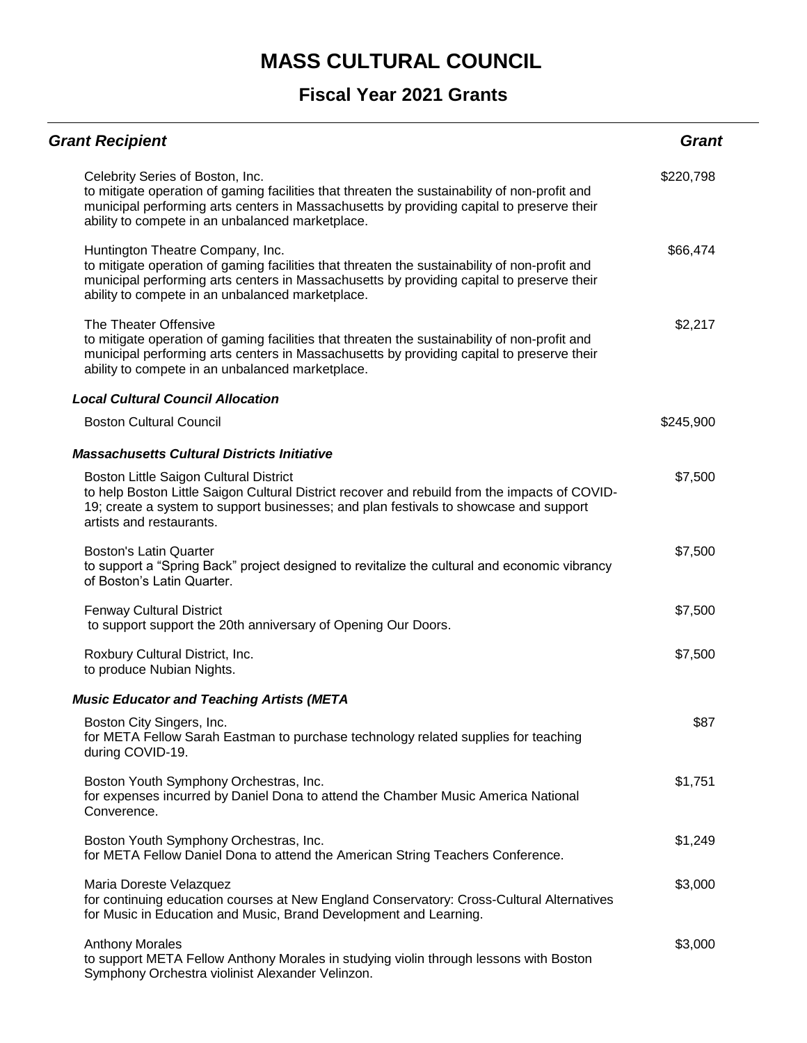| <b>Grant Recipient</b>                                                                                                                                                                                                                                                             | <b>Grant</b> |
|------------------------------------------------------------------------------------------------------------------------------------------------------------------------------------------------------------------------------------------------------------------------------------|--------------|
| Celebrity Series of Boston, Inc.<br>to mitigate operation of gaming facilities that threaten the sustainability of non-profit and<br>municipal performing arts centers in Massachusetts by providing capital to preserve their<br>ability to compete in an unbalanced marketplace. | \$220,798    |
| Huntington Theatre Company, Inc.<br>to mitigate operation of gaming facilities that threaten the sustainability of non-profit and<br>municipal performing arts centers in Massachusetts by providing capital to preserve their<br>ability to compete in an unbalanced marketplace. | \$66,474     |
| The Theater Offensive<br>to mitigate operation of gaming facilities that threaten the sustainability of non-profit and<br>municipal performing arts centers in Massachusetts by providing capital to preserve their<br>ability to compete in an unbalanced marketplace.            | \$2,217      |
| <b>Local Cultural Council Allocation</b>                                                                                                                                                                                                                                           |              |
| <b>Boston Cultural Council</b>                                                                                                                                                                                                                                                     | \$245,900    |
| <b>Massachusetts Cultural Districts Initiative</b>                                                                                                                                                                                                                                 |              |
| Boston Little Saigon Cultural District<br>to help Boston Little Saigon Cultural District recover and rebuild from the impacts of COVID-<br>19; create a system to support businesses; and plan festivals to showcase and support<br>artists and restaurants.                       | \$7,500      |
| <b>Boston's Latin Quarter</b><br>to support a "Spring Back" project designed to revitalize the cultural and economic vibrancy<br>of Boston's Latin Quarter.                                                                                                                        | \$7,500      |
| <b>Fenway Cultural District</b><br>to support support the 20th anniversary of Opening Our Doors.                                                                                                                                                                                   | \$7,500      |
| Roxbury Cultural District, Inc.<br>to produce Nubian Nights.                                                                                                                                                                                                                       | \$7,500      |
| <b>Music Educator and Teaching Artists (META</b>                                                                                                                                                                                                                                   |              |
| Boston City Singers, Inc.<br>for META Fellow Sarah Eastman to purchase technology related supplies for teaching<br>during COVID-19.                                                                                                                                                | \$87         |
| Boston Youth Symphony Orchestras, Inc.<br>for expenses incurred by Daniel Dona to attend the Chamber Music America National<br>Converence.                                                                                                                                         | \$1,751      |
| Boston Youth Symphony Orchestras, Inc.<br>for META Fellow Daniel Dona to attend the American String Teachers Conference.                                                                                                                                                           | \$1,249      |
| Maria Doreste Velazquez<br>for continuing education courses at New England Conservatory: Cross-Cultural Alternatives<br>for Music in Education and Music, Brand Development and Learning.                                                                                          | \$3,000      |
| <b>Anthony Morales</b><br>to support META Fellow Anthony Morales in studying violin through lessons with Boston<br>Symphony Orchestra violinist Alexander Velinzon.                                                                                                                | \$3,000      |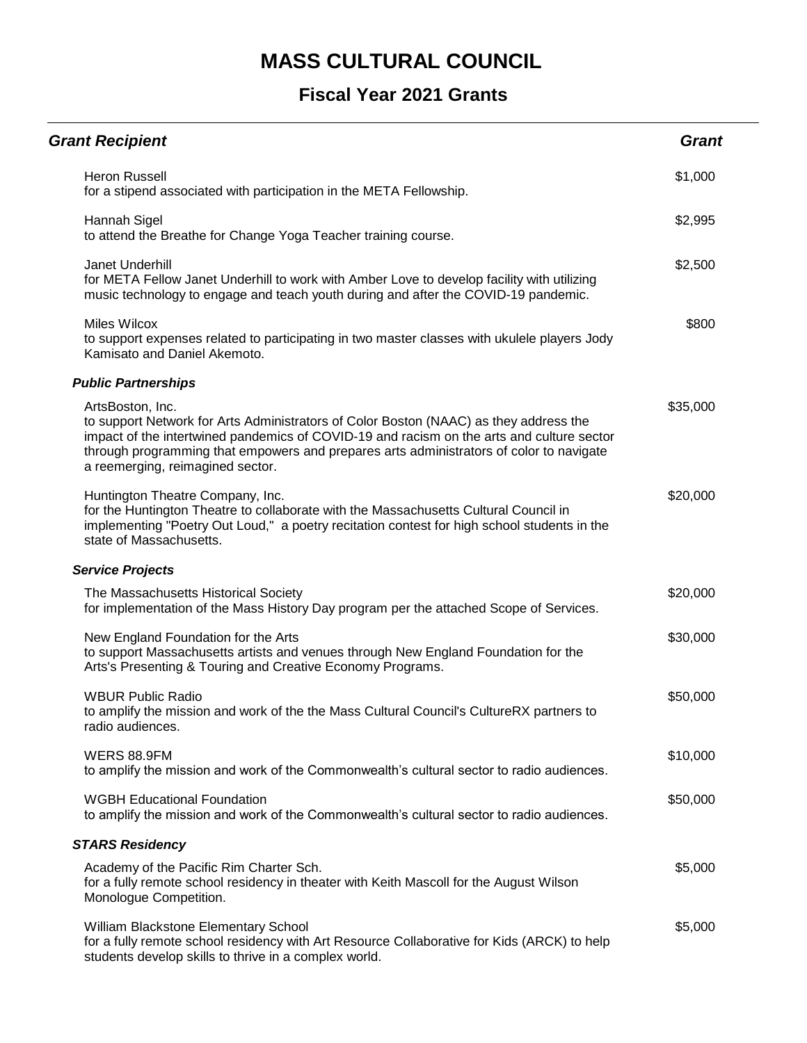| <b>Grant Recipient</b>                                                                                                                                                                                                                                                                                                                | <b>Grant</b> |
|---------------------------------------------------------------------------------------------------------------------------------------------------------------------------------------------------------------------------------------------------------------------------------------------------------------------------------------|--------------|
| <b>Heron Russell</b><br>for a stipend associated with participation in the META Fellowship.                                                                                                                                                                                                                                           | \$1,000      |
| Hannah Sigel<br>to attend the Breathe for Change Yoga Teacher training course.                                                                                                                                                                                                                                                        | \$2,995      |
| Janet Underhill<br>for META Fellow Janet Underhill to work with Amber Love to develop facility with utilizing<br>music technology to engage and teach youth during and after the COVID-19 pandemic.                                                                                                                                   | \$2,500      |
| <b>Miles Wilcox</b><br>to support expenses related to participating in two master classes with ukulele players Jody<br>Kamisato and Daniel Akemoto.                                                                                                                                                                                   | \$800        |
| <b>Public Partnerships</b>                                                                                                                                                                                                                                                                                                            |              |
| ArtsBoston, Inc.<br>to support Network for Arts Administrators of Color Boston (NAAC) as they address the<br>impact of the intertwined pandemics of COVID-19 and racism on the arts and culture sector<br>through programming that empowers and prepares arts administrators of color to navigate<br>a reemerging, reimagined sector. | \$35,000     |
| Huntington Theatre Company, Inc.<br>for the Huntington Theatre to collaborate with the Massachusetts Cultural Council in<br>implementing "Poetry Out Loud," a poetry recitation contest for high school students in the<br>state of Massachusetts.                                                                                    | \$20,000     |
| <b>Service Projects</b>                                                                                                                                                                                                                                                                                                               |              |
| The Massachusetts Historical Society<br>for implementation of the Mass History Day program per the attached Scope of Services.                                                                                                                                                                                                        | \$20,000     |
| New England Foundation for the Arts<br>to support Massachusetts artists and venues through New England Foundation for the<br>Arts's Presenting & Touring and Creative Economy Programs.                                                                                                                                               | \$30,000     |
| <b>WBUR Public Radio</b><br>to amplify the mission and work of the the Mass Cultural Council's CultureRX partners to<br>radio audiences.                                                                                                                                                                                              | \$50,000     |
| <b>WERS 88.9FM</b><br>to amplify the mission and work of the Commonwealth's cultural sector to radio audiences.                                                                                                                                                                                                                       | \$10,000     |
| <b>WGBH Educational Foundation</b><br>to amplify the mission and work of the Commonwealth's cultural sector to radio audiences.                                                                                                                                                                                                       | \$50,000     |
| <b>STARS Residency</b>                                                                                                                                                                                                                                                                                                                |              |
| Academy of the Pacific Rim Charter Sch.<br>for a fully remote school residency in theater with Keith Mascoll for the August Wilson<br>Monologue Competition.                                                                                                                                                                          | \$5,000      |
| William Blackstone Elementary School<br>for a fully remote school residency with Art Resource Collaborative for Kids (ARCK) to help<br>students develop skills to thrive in a complex world.                                                                                                                                          | \$5,000      |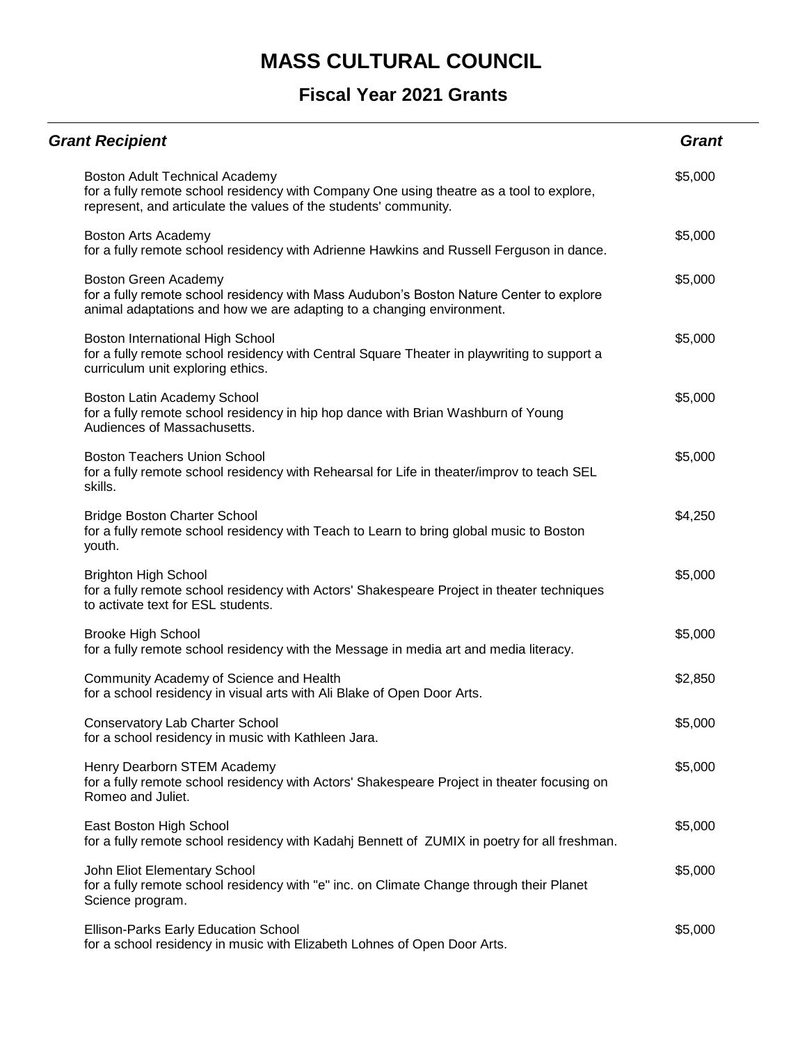| <b>Grant Recipient</b>                                                                                                                                                                         | <b>Grant</b> |
|------------------------------------------------------------------------------------------------------------------------------------------------------------------------------------------------|--------------|
| Boston Adult Technical Academy<br>for a fully remote school residency with Company One using theatre as a tool to explore,<br>represent, and articulate the values of the students' community. | \$5,000      |
| Boston Arts Academy<br>for a fully remote school residency with Adrienne Hawkins and Russell Ferguson in dance.                                                                                | \$5,000      |
| Boston Green Academy<br>for a fully remote school residency with Mass Audubon's Boston Nature Center to explore<br>animal adaptations and how we are adapting to a changing environment.       | \$5,000      |
| Boston International High School<br>for a fully remote school residency with Central Square Theater in playwriting to support a<br>curriculum unit exploring ethics.                           | \$5,000      |
| Boston Latin Academy School<br>for a fully remote school residency in hip hop dance with Brian Washburn of Young<br>Audiences of Massachusetts.                                                | \$5,000      |
| <b>Boston Teachers Union School</b><br>for a fully remote school residency with Rehearsal for Life in theater/improv to teach SEL<br>skills.                                                   | \$5,000      |
| <b>Bridge Boston Charter School</b><br>for a fully remote school residency with Teach to Learn to bring global music to Boston<br>youth.                                                       | \$4,250      |
| <b>Brighton High School</b><br>for a fully remote school residency with Actors' Shakespeare Project in theater techniques<br>to activate text for ESL students.                                | \$5,000      |
| <b>Brooke High School</b><br>for a fully remote school residency with the Message in media art and media literacy.                                                                             | \$5,000      |
| Community Academy of Science and Health<br>for a school residency in visual arts with Ali Blake of Open Door Arts.                                                                             | \$2,850      |
| <b>Conservatory Lab Charter School</b><br>for a school residency in music with Kathleen Jara.                                                                                                  | \$5,000      |
| Henry Dearborn STEM Academy<br>for a fully remote school residency with Actors' Shakespeare Project in theater focusing on<br>Romeo and Juliet.                                                | \$5,000      |
| East Boston High School<br>for a fully remote school residency with Kadahj Bennett of ZUMIX in poetry for all freshman.                                                                        | \$5,000      |
| John Eliot Elementary School<br>for a fully remote school residency with "e" inc. on Climate Change through their Planet<br>Science program.                                                   | \$5,000      |
| Ellison-Parks Early Education School<br>for a school residency in music with Elizabeth Lohnes of Open Door Arts.                                                                               | \$5,000      |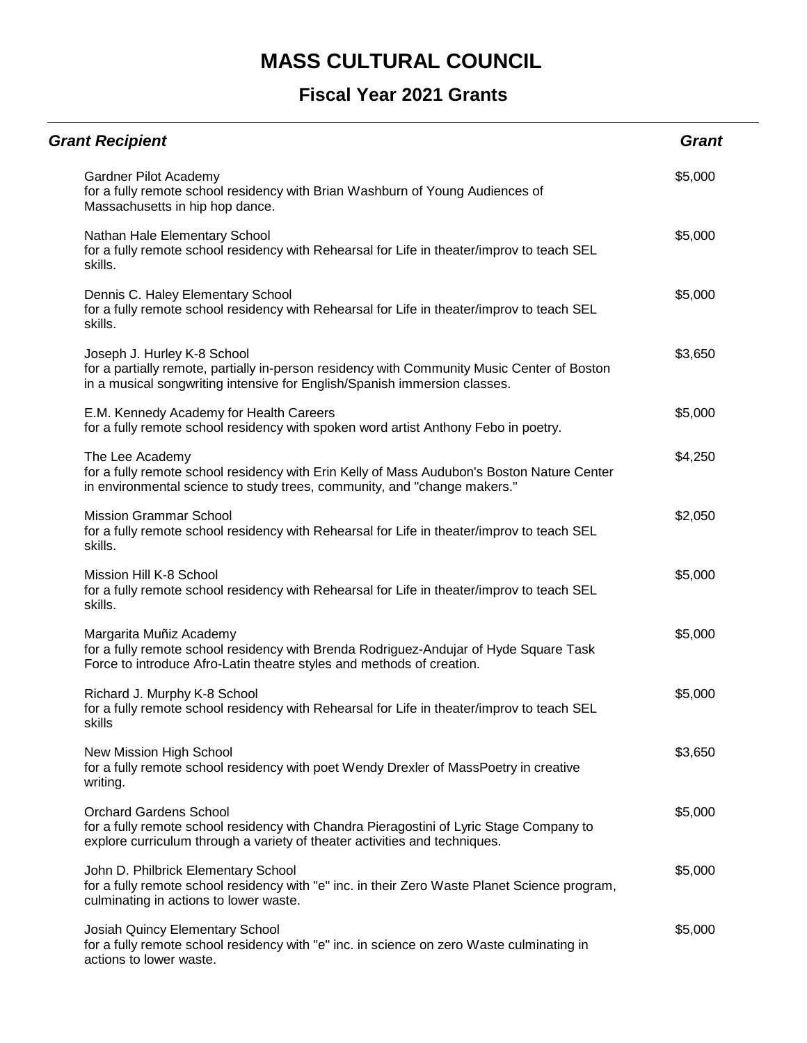| <b>Grant Recipient</b>                                                                                                                                                                                  | <b>Grant</b> |
|---------------------------------------------------------------------------------------------------------------------------------------------------------------------------------------------------------|--------------|
| Gardner Pilot Academy<br>for a fully remote school residency with Brian Washburn of Young Audiences of<br>Massachusetts in hip hop dance.                                                               | \$5,000      |
| Nathan Hale Elementary School<br>for a fully remote school residency with Rehearsal for Life in theater/improv to teach SEL<br>skills.                                                                  | \$5,000      |
| Dennis C. Haley Elementary School<br>for a fully remote school residency with Rehearsal for Life in theater/improv to teach SEL<br>skills.                                                              | \$5,000      |
| Joseph J. Hurley K-8 School<br>for a partially remote, partially in-person residency with Community Music Center of Boston<br>in a musical songwriting intensive for English/Spanish immersion classes. | \$3,650      |
| E.M. Kennedy Academy for Health Careers<br>for a fully remote school residency with spoken word artist Anthony Febo in poetry.                                                                          | \$5,000      |
| The Lee Academy<br>for a fully remote school residency with Erin Kelly of Mass Audubon's Boston Nature Center<br>in environmental science to study trees, community, and "change makers."               | \$4,250      |
| <b>Mission Grammar School</b><br>for a fully remote school residency with Rehearsal for Life in theater/improv to teach SEL<br>skills.                                                                  | \$2,050      |
| Mission Hill K-8 School<br>for a fully remote school residency with Rehearsal for Life in theater/improv to teach SEL<br>skills.                                                                        | \$5,000      |
| Margarita Muñiz Academy<br>for a fully remote school residency with Brenda Rodriguez-Andujar of Hyde Square Task<br>Force to introduce Afro-Latin theatre styles and methods of creation.               | \$5,000      |
| Richard J. Murphy K-8 School<br>for a fully remote school residency with Rehearsal for Life in theater/improv to teach SEL<br>skills                                                                    | \$5,000      |
| New Mission High School<br>for a fully remote school residency with poet Wendy Drexler of MassPoetry in creative<br>writing.                                                                            | \$3,650      |
| <b>Orchard Gardens School</b><br>for a fully remote school residency with Chandra Pieragostini of Lyric Stage Company to<br>explore curriculum through a variety of theater activities and techniques.  | \$5,000      |
| John D. Philbrick Elementary School<br>for a fully remote school residency with "e" inc. in their Zero Waste Planet Science program,<br>culminating in actions to lower waste.                          | \$5,000      |
| Josiah Quincy Elementary School<br>for a fully remote school residency with "e" inc. in science on zero Waste culminating in<br>actions to lower waste.                                                 | \$5,000      |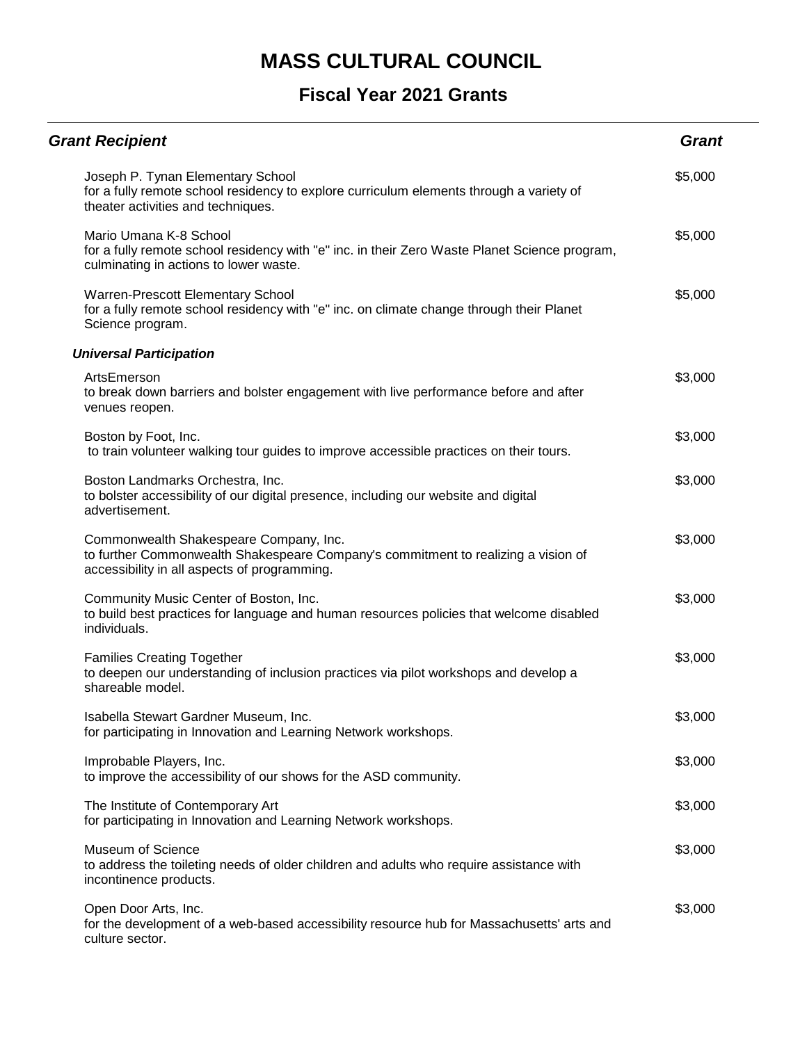| <b>Grant Recipient</b>                                                                                                                                                      | <b>Grant</b> |
|-----------------------------------------------------------------------------------------------------------------------------------------------------------------------------|--------------|
| Joseph P. Tynan Elementary School<br>for a fully remote school residency to explore curriculum elements through a variety of<br>theater activities and techniques.          | \$5,000      |
| Mario Umana K-8 School<br>for a fully remote school residency with "e" inc. in their Zero Waste Planet Science program,<br>culminating in actions to lower waste.           | \$5,000      |
| Warren-Prescott Elementary School<br>for a fully remote school residency with "e" inc. on climate change through their Planet<br>Science program.                           | \$5,000      |
| <b>Universal Participation</b>                                                                                                                                              |              |
| ArtsEmerson<br>to break down barriers and bolster engagement with live performance before and after<br>venues reopen.                                                       | \$3,000      |
| Boston by Foot, Inc.<br>to train volunteer walking tour guides to improve accessible practices on their tours.                                                              | \$3,000      |
| Boston Landmarks Orchestra, Inc.<br>to bolster accessibility of our digital presence, including our website and digital<br>advertisement.                                   | \$3,000      |
| Commonwealth Shakespeare Company, Inc.<br>to further Commonwealth Shakespeare Company's commitment to realizing a vision of<br>accessibility in all aspects of programming. | \$3,000      |
| Community Music Center of Boston, Inc.<br>to build best practices for language and human resources policies that welcome disabled<br>individuals.                           | \$3,000      |
| <b>Families Creating Together</b><br>to deepen our understanding of inclusion practices via pilot workshops and develop a<br>shareable model.                               | \$3,000      |
| Isabella Stewart Gardner Museum, Inc.<br>for participating in Innovation and Learning Network workshops.                                                                    | \$3,000      |
| Improbable Players, Inc.<br>to improve the accessibility of our shows for the ASD community.                                                                                | \$3,000      |
| The Institute of Contemporary Art<br>for participating in Innovation and Learning Network workshops.                                                                        | \$3,000      |
| Museum of Science<br>to address the toileting needs of older children and adults who require assistance with<br>incontinence products.                                      | \$3,000      |
| Open Door Arts, Inc.<br>for the development of a web-based accessibility resource hub for Massachusetts' arts and<br>culture sector.                                        | \$3,000      |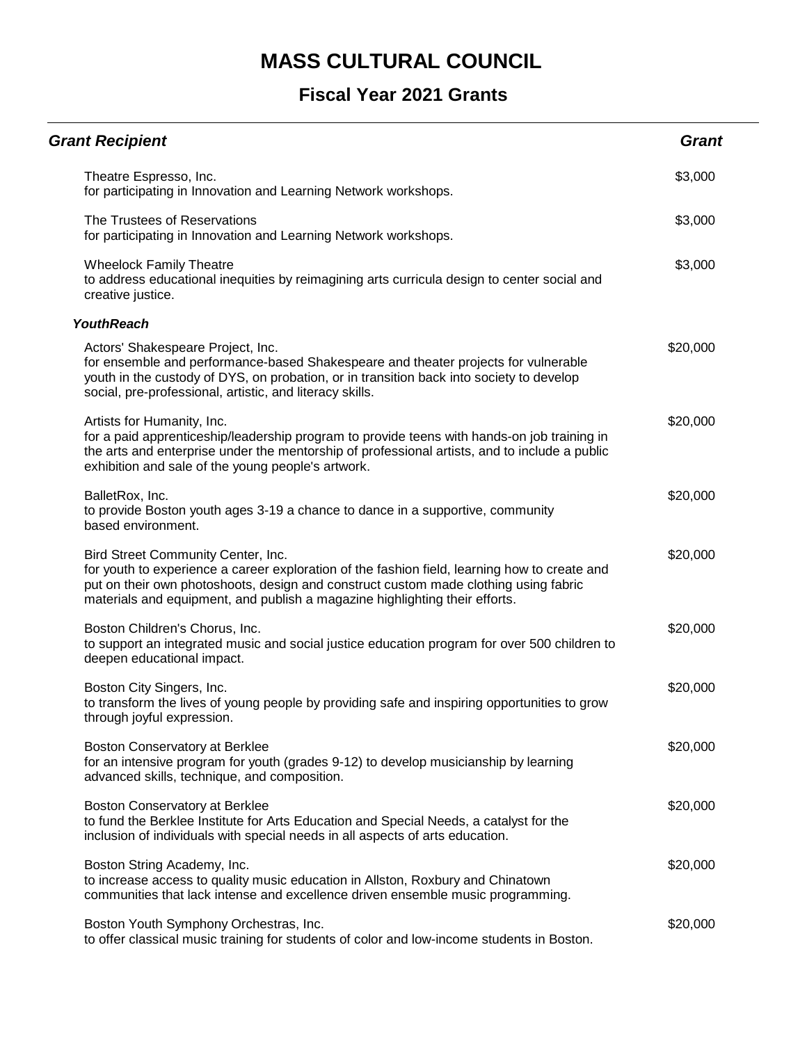| <b>Grant Recipient</b>                                                                                                                                                                                                                                                                                     | <b>Grant</b> |
|------------------------------------------------------------------------------------------------------------------------------------------------------------------------------------------------------------------------------------------------------------------------------------------------------------|--------------|
| Theatre Espresso, Inc.<br>for participating in Innovation and Learning Network workshops.                                                                                                                                                                                                                  | \$3,000      |
| The Trustees of Reservations<br>for participating in Innovation and Learning Network workshops.                                                                                                                                                                                                            | \$3,000      |
| <b>Wheelock Family Theatre</b><br>to address educational inequities by reimagining arts curricula design to center social and<br>creative justice.                                                                                                                                                         | \$3,000      |
| <b>YouthReach</b>                                                                                                                                                                                                                                                                                          |              |
| Actors' Shakespeare Project, Inc.<br>for ensemble and performance-based Shakespeare and theater projects for vulnerable<br>youth in the custody of DYS, on probation, or in transition back into society to develop<br>social, pre-professional, artistic, and literacy skills.                            | \$20,000     |
| Artists for Humanity, Inc.<br>for a paid apprenticeship/leadership program to provide teens with hands-on job training in<br>the arts and enterprise under the mentorship of professional artists, and to include a public<br>exhibition and sale of the young people's artwork.                           | \$20,000     |
| BalletRox, Inc.<br>to provide Boston youth ages 3-19 a chance to dance in a supportive, community<br>based environment.                                                                                                                                                                                    | \$20,000     |
| Bird Street Community Center, Inc.<br>for youth to experience a career exploration of the fashion field, learning how to create and<br>put on their own photoshoots, design and construct custom made clothing using fabric<br>materials and equipment, and publish a magazine highlighting their efforts. | \$20,000     |
| Boston Children's Chorus, Inc.<br>to support an integrated music and social justice education program for over 500 children to<br>deepen educational impact.                                                                                                                                               | \$20,000     |
| Boston City Singers, Inc.<br>to transform the lives of young people by providing safe and inspiring opportunities to grow<br>through joyful expression.                                                                                                                                                    | \$20,000     |
| Boston Conservatory at Berklee<br>for an intensive program for youth (grades 9-12) to develop musicianship by learning<br>advanced skills, technique, and composition.                                                                                                                                     | \$20,000     |
| Boston Conservatory at Berklee<br>to fund the Berklee Institute for Arts Education and Special Needs, a catalyst for the<br>inclusion of individuals with special needs in all aspects of arts education.                                                                                                  | \$20,000     |
| Boston String Academy, Inc.<br>to increase access to quality music education in Allston, Roxbury and Chinatown<br>communities that lack intense and excellence driven ensemble music programming.                                                                                                          | \$20,000     |
| Boston Youth Symphony Orchestras, Inc.<br>to offer classical music training for students of color and low-income students in Boston.                                                                                                                                                                       | \$20,000     |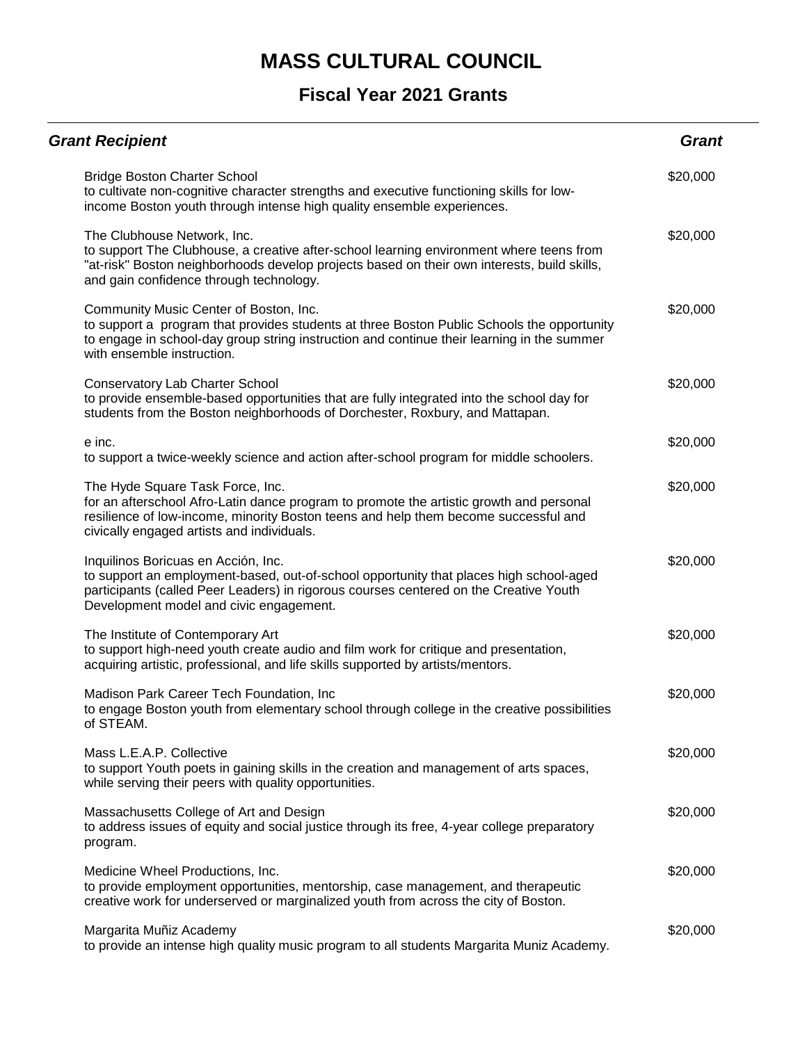| <b>Grant Recipient</b>                                                                                                                                                                                                                                            | <b>Grant</b> |
|-------------------------------------------------------------------------------------------------------------------------------------------------------------------------------------------------------------------------------------------------------------------|--------------|
| <b>Bridge Boston Charter School</b><br>to cultivate non-cognitive character strengths and executive functioning skills for low-<br>income Boston youth through intense high quality ensemble experiences.                                                         | \$20,000     |
| The Clubhouse Network, Inc.<br>to support The Clubhouse, a creative after-school learning environment where teens from<br>"at-risk" Boston neighborhoods develop projects based on their own interests, build skills,<br>and gain confidence through technology.  | \$20,000     |
| Community Music Center of Boston, Inc.<br>to support a program that provides students at three Boston Public Schools the opportunity<br>to engage in school-day group string instruction and continue their learning in the summer<br>with ensemble instruction.  | \$20,000     |
| Conservatory Lab Charter School<br>to provide ensemble-based opportunities that are fully integrated into the school day for<br>students from the Boston neighborhoods of Dorchester, Roxbury, and Mattapan.                                                      | \$20,000     |
| e inc.<br>to support a twice-weekly science and action after-school program for middle schoolers.                                                                                                                                                                 | \$20,000     |
| The Hyde Square Task Force, Inc.<br>for an afterschool Afro-Latin dance program to promote the artistic growth and personal<br>resilience of low-income, minority Boston teens and help them become successful and<br>civically engaged artists and individuals.  | \$20,000     |
| Inquilinos Boricuas en Acción, Inc.<br>to support an employment-based, out-of-school opportunity that places high school-aged<br>participants (called Peer Leaders) in rigorous courses centered on the Creative Youth<br>Development model and civic engagement. | \$20,000     |
| The Institute of Contemporary Art<br>to support high-need youth create audio and film work for critique and presentation,<br>acquiring artistic, professional, and life skills supported by artists/mentors.                                                      | \$20,000     |
| Madison Park Career Tech Foundation, Inc<br>to engage Boston youth from elementary school through college in the creative possibilities<br>of STEAM.                                                                                                              | \$20,000     |
| Mass L.E.A.P. Collective<br>to support Youth poets in gaining skills in the creation and management of arts spaces,<br>while serving their peers with quality opportunities.                                                                                      | \$20,000     |
| Massachusetts College of Art and Design<br>to address issues of equity and social justice through its free, 4-year college preparatory<br>program.                                                                                                                | \$20,000     |
| Medicine Wheel Productions, Inc.<br>to provide employment opportunities, mentorship, case management, and therapeutic<br>creative work for underserved or marginalized youth from across the city of Boston.                                                      | \$20,000     |
| Margarita Muñiz Academy<br>to provide an intense high quality music program to all students Margarita Muniz Academy.                                                                                                                                              | \$20,000     |